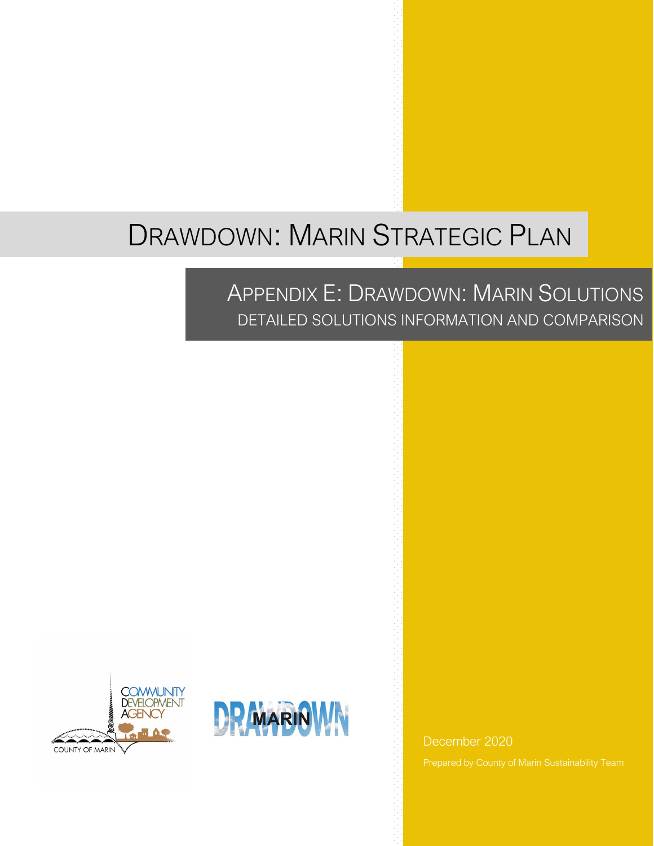# DRAWDOWN: MARIN STRATEGIC PLAN

## APPENDIX E: DRAWDOWN: MARIN SOLUTIONS DETAILED SOLUTIONS INFORMATION AND COMPARISON





December 2020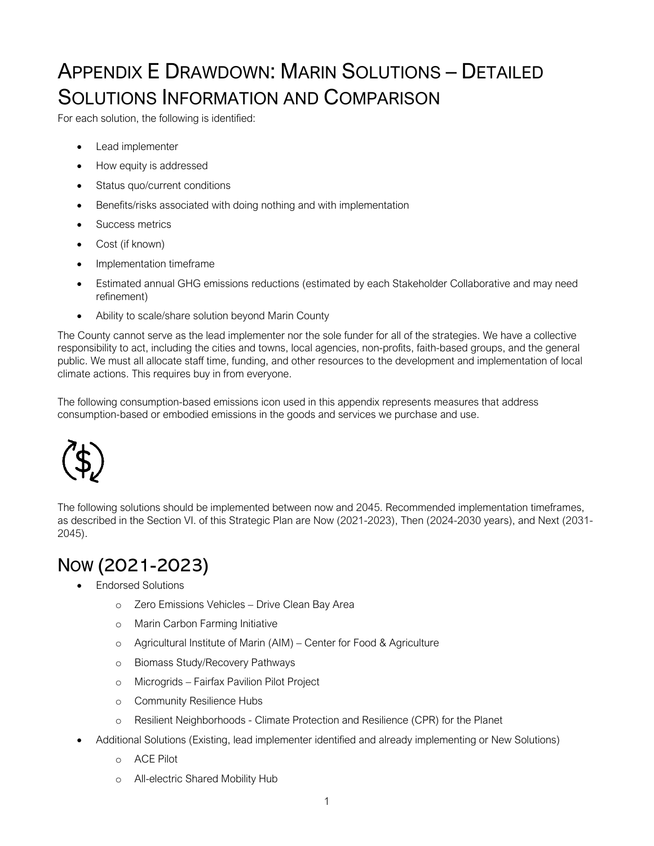# APPENDIX E DRAWDOWN: MARIN SOLUTIONS – DETAILED SOLUTIONS INFORMATION AND COMPARISON

For each solution, the following is identified:

- Lead implementer
- How equity is addressed
- Status quo/current conditions
- Benefits/risks associated with doing nothing and with implementation
- Success metrics
- Cost (if known)
- Implementation timeframe
- Estimated annual GHG emissions reductions (estimated by each Stakeholder Collaborative and may need refinement)
- Ability to scale/share solution beyond Marin County

The County cannot serve as the lead implementer nor the sole funder for all of the strategies. We have a collective responsibility to act, including the cities and towns, local agencies, non-profits, faith-based groups, and the general public. We must all allocate staff time, funding, and other resources to the development and implementation of local climate actions. This requires buy in from everyone.

The following consumption-based emissions icon used in this appendix represents measures that address consumption-based or embodied emissions in the goods and services we purchase and use.



The following solutions should be implemented between now and 2045. Recommended implementation timeframes, as described in the Section VI. of this Strategic Plan are Now (2021-2023), Then (2024-2030 years), and Next (2031- 2045).

### NOW (2021-2023)

- Endorsed Solutions
	- o Zero Emissions Vehicles Drive Clean Bay Area
	- o Marin Carbon Farming Initiative
	- o Agricultural Institute of Marin (AIM) Center for Food & Agriculture
	- o Biomass Study/Recovery Pathways
	- o Microgrids Fairfax Pavilion Pilot Project
	- o Community Resilience Hubs
	- o Resilient Neighborhoods Climate Protection and Resilience (CPR) for the Planet
- Additional Solutions (Existing, lead implementer identified and already implementing or New Solutions)
	- o ACE Pilot
	- o All-electric Shared Mobility Hub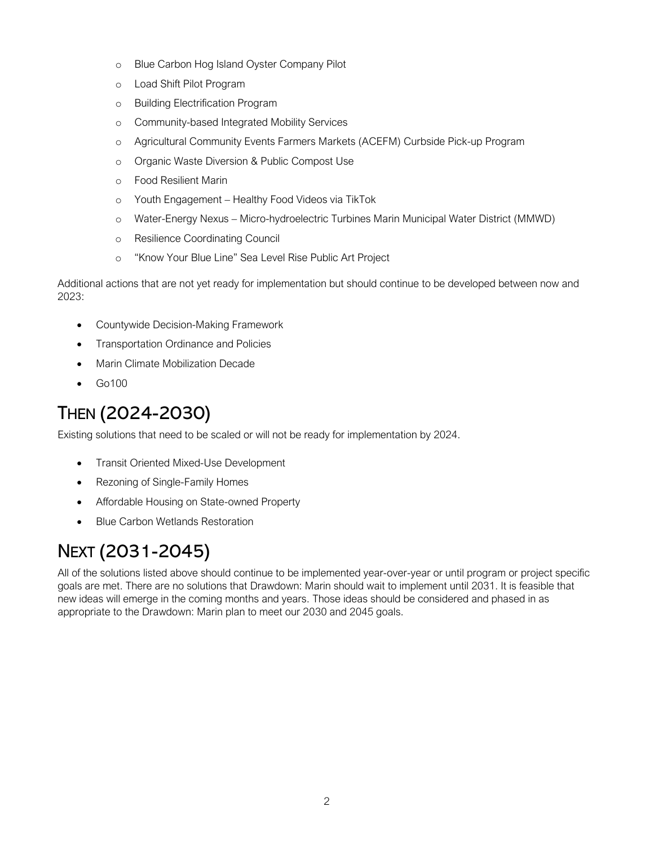- o Blue Carbon Hog Island Oyster Company Pilot
- o Load Shift Pilot Program
- o Building Electrification Program
- o Community-based Integrated Mobility Services
- o Agricultural Community Events Farmers Markets (ACEFM) Curbside Pick-up Program
- o Organic Waste Diversion & Public Compost Use
- o Food Resilient Marin
- o Youth Engagement Healthy Food Videos via TikTok
- o Water-Energy Nexus Micro-hydroelectric Turbines Marin Municipal Water District (MMWD)
- o Resilience Coordinating Council
- o "Know Your Blue Line" Sea Level Rise Public Art Project

Additional actions that are not yet ready for implementation but should continue to be developed between now and 2023:

- Countywide Decision-Making Framework
- Transportation Ordinance and Policies
- Marin Climate Mobilization Decade
- Go100

### THEN (2024-2030)

Existing solutions that need to be scaled or will not be ready for implementation by 2024.

- Transit Oriented Mixed-Use Development
- Rezoning of Single-Family Homes
- Affordable Housing on State-owned Property
- Blue Carbon Wetlands Restoration

### NEXT (2031-2045)

All of the solutions listed above should continue to be implemented year-over-year or until program or project specific goals are met. There are no solutions that Drawdown: Marin should wait to implement until 2031. It is feasible that new ideas will emerge in the coming months and years. Those ideas should be considered and phased in as appropriate to the Drawdown: Marin plan to meet our 2030 and 2045 goals.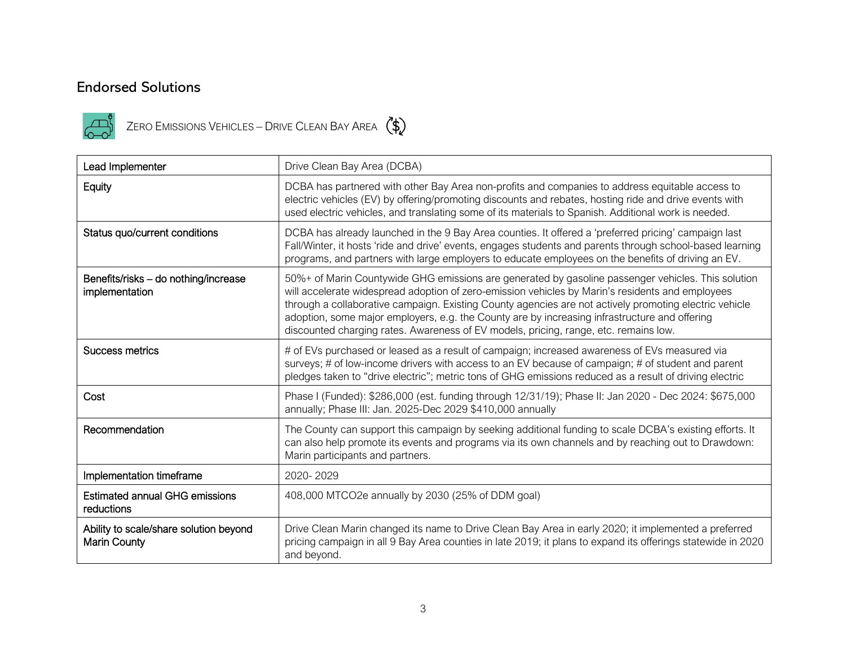### Endorsed Solutions



 $\begin{pmatrix} 1 & 0 \\ 0 & -1 \end{pmatrix}$  ZERO EMISSIONS VEHICLES – DRIVE CLEAN BAY AREA



| Lead Implementer                                              | Drive Clean Bay Area (DCBA)                                                                                                                                                                                                                                                                                                                                                                                                                                                                               |
|---------------------------------------------------------------|-----------------------------------------------------------------------------------------------------------------------------------------------------------------------------------------------------------------------------------------------------------------------------------------------------------------------------------------------------------------------------------------------------------------------------------------------------------------------------------------------------------|
| Equity                                                        | DCBA has partnered with other Bay Area non-profits and companies to address equitable access to<br>electric vehicles (EV) by offering/promoting discounts and rebates, hosting ride and drive events with<br>used electric vehicles, and translating some of its materials to Spanish. Additional work is needed.                                                                                                                                                                                         |
| Status quo/current conditions                                 | DCBA has already launched in the 9 Bay Area counties. It offered a 'preferred pricing' campaign last<br>Fall/Winter, it hosts 'ride and drive' events, engages students and parents through school-based learning<br>programs, and partners with large employers to educate employees on the benefits of driving an EV.                                                                                                                                                                                   |
| Benefits/risks - do nothing/increase<br>implementation        | 50%+ of Marin Countywide GHG emissions are generated by gasoline passenger vehicles. This solution<br>will accelerate widespread adoption of zero-emission vehicles by Marin's residents and employees<br>through a collaborative campaign. Existing County agencies are not actively promoting electric vehicle<br>adoption, some major employers, e.g. the County are by increasing infrastructure and offering<br>discounted charging rates. Awareness of EV models, pricing, range, etc. remains low. |
| Success metrics                                               | # of EVs purchased or leased as a result of campaign; increased awareness of EVs measured via<br>surveys; # of low-income drivers with access to an EV because of campaign; # of student and parent<br>pledges taken to "drive electric"; metric tons of GHG emissions reduced as a result of driving electric                                                                                                                                                                                            |
| Cost                                                          | Phase I (Funded): \$286,000 (est. funding through 12/31/19); Phase II: Jan 2020 - Dec 2024: \$675,000<br>annually; Phase III: Jan. 2025-Dec 2029 \$410,000 annually                                                                                                                                                                                                                                                                                                                                       |
| Recommendation                                                | The County can support this campaign by seeking additional funding to scale DCBA's existing efforts. It<br>can also help promote its events and programs via its own channels and by reaching out to Drawdown:<br>Marin participants and partners.                                                                                                                                                                                                                                                        |
| Implementation timeframe                                      | 2020-2029                                                                                                                                                                                                                                                                                                                                                                                                                                                                                                 |
| <b>Estimated annual GHG emissions</b><br>reductions           | 408,000 MTCO2e annually by 2030 (25% of DDM goal)                                                                                                                                                                                                                                                                                                                                                                                                                                                         |
| Ability to scale/share solution beyond<br><b>Marin County</b> | Drive Clean Marin changed its name to Drive Clean Bay Area in early 2020; it implemented a preferred<br>pricing campaign in all 9 Bay Area counties in late 2019; it plans to expand its offerings statewide in 2020<br>and beyond.                                                                                                                                                                                                                                                                       |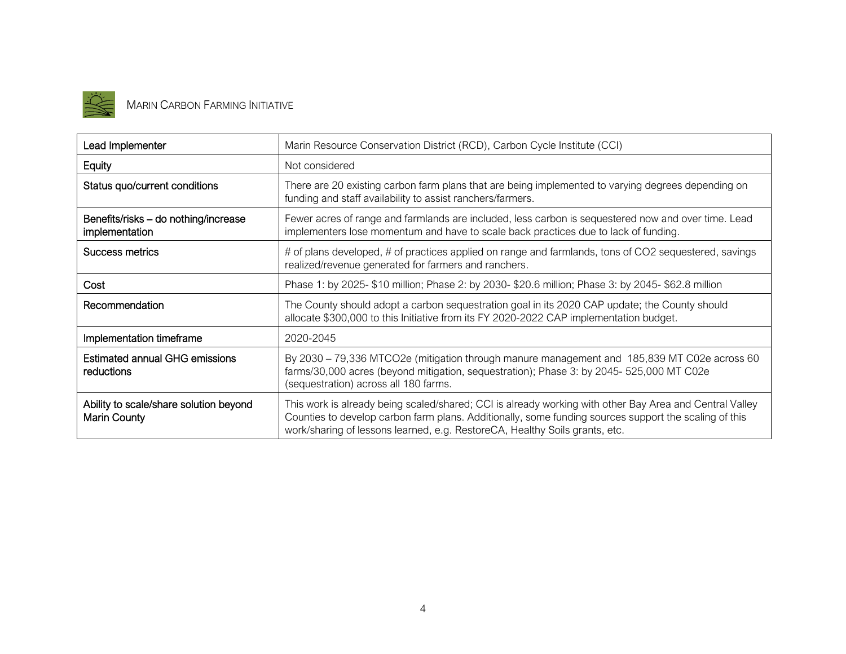

# MARIN CARBON FARMING INITIATIVE

| Lead Implementer                                       | Marin Resource Conservation District (RCD), Carbon Cycle Institute (CCI)                                                                                                                                                                                                                        |
|--------------------------------------------------------|-------------------------------------------------------------------------------------------------------------------------------------------------------------------------------------------------------------------------------------------------------------------------------------------------|
| Equity                                                 | Not considered                                                                                                                                                                                                                                                                                  |
| Status quo/current conditions                          | There are 20 existing carbon farm plans that are being implemented to varying degrees depending on<br>funding and staff availability to assist ranchers/farmers.                                                                                                                                |
| Benefits/risks - do nothing/increase<br>implementation | Fewer acres of range and farmlands are included, less carbon is sequestered now and over time. Lead<br>implementers lose momentum and have to scale back practices due to lack of funding.                                                                                                      |
| Success metrics                                        | # of plans developed, # of practices applied on range and farmlands, tons of CO2 sequestered, savings<br>realized/revenue generated for farmers and ranchers.                                                                                                                                   |
| Cost                                                   | Phase 1: by 2025- \$10 million; Phase 2: by 2030- \$20.6 million; Phase 3: by 2045- \$62.8 million                                                                                                                                                                                              |
| Recommendation                                         | The County should adopt a carbon sequestration goal in its 2020 CAP update; the County should<br>allocate \$300,000 to this Initiative from its FY 2020-2022 CAP implementation budget.                                                                                                         |
| Implementation timeframe                               | 2020-2045                                                                                                                                                                                                                                                                                       |
| <b>Estimated annual GHG emissions</b><br>reductions    | By 2030 - 79,336 MTCO2e (mitigation through manure management and 185,839 MT C02e across 60<br>farms/30,000 acres (beyond mitigation, sequestration); Phase 3: by 2045- 525,000 MT C02e<br>(sequestration) across all 180 farms.                                                                |
| Ability to scale/share solution beyond<br>Marin County | This work is already being scaled/shared; CCI is already working with other Bay Area and Central Valley<br>Counties to develop carbon farm plans. Additionally, some funding sources support the scaling of this<br>work/sharing of lessons learned, e.g. RestoreCA, Healthy Soils grants, etc. |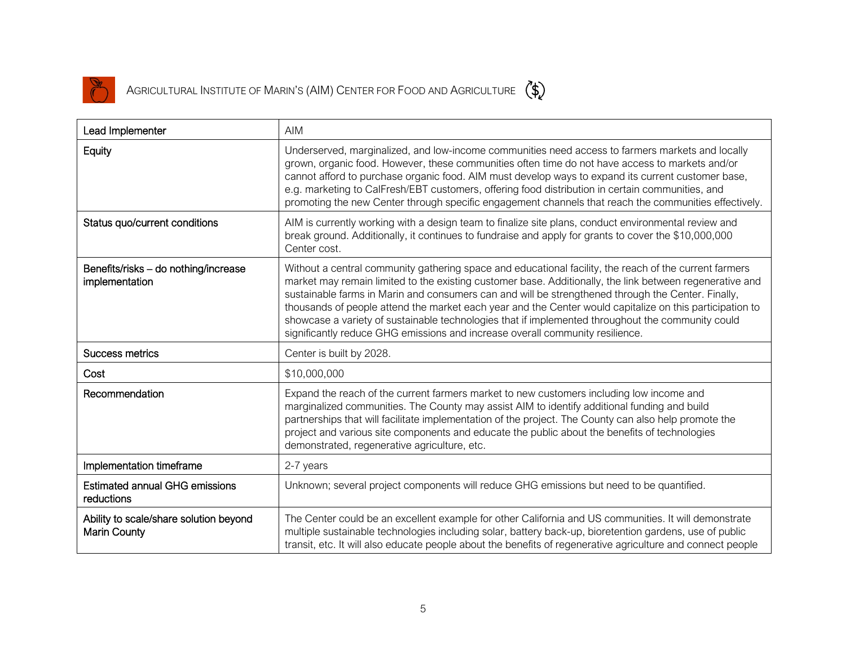

| Lead Implementer                                              | <b>AIM</b>                                                                                                                                                                                                                                                                                                                                                                                                                                                                                                                                                                                                                 |
|---------------------------------------------------------------|----------------------------------------------------------------------------------------------------------------------------------------------------------------------------------------------------------------------------------------------------------------------------------------------------------------------------------------------------------------------------------------------------------------------------------------------------------------------------------------------------------------------------------------------------------------------------------------------------------------------------|
| Equity                                                        | Underserved, marginalized, and low-income communities need access to farmers markets and locally<br>grown, organic food. However, these communities often time do not have access to markets and/or<br>cannot afford to purchase organic food. AIM must develop ways to expand its current customer base,<br>e.g. marketing to CalFresh/EBT customers, offering food distribution in certain communities, and<br>promoting the new Center through specific engagement channels that reach the communities effectively.                                                                                                     |
| Status quo/current conditions                                 | AIM is currently working with a design team to finalize site plans, conduct environmental review and<br>break ground. Additionally, it continues to fundraise and apply for grants to cover the \$10,000,000<br>Center cost.                                                                                                                                                                                                                                                                                                                                                                                               |
| Benefits/risks - do nothing/increase<br>implementation        | Without a central community gathering space and educational facility, the reach of the current farmers<br>market may remain limited to the existing customer base. Additionally, the link between regenerative and<br>sustainable farms in Marin and consumers can and will be strengthened through the Center. Finally,<br>thousands of people attend the market each year and the Center would capitalize on this participation to<br>showcase a variety of sustainable technologies that if implemented throughout the community could<br>significantly reduce GHG emissions and increase overall community resilience. |
| Success metrics                                               | Center is built by 2028.                                                                                                                                                                                                                                                                                                                                                                                                                                                                                                                                                                                                   |
| Cost                                                          | \$10,000,000                                                                                                                                                                                                                                                                                                                                                                                                                                                                                                                                                                                                               |
| Recommendation                                                | Expand the reach of the current farmers market to new customers including low income and<br>marginalized communities. The County may assist AIM to identify additional funding and build<br>partnerships that will facilitate implementation of the project. The County can also help promote the<br>project and various site components and educate the public about the benefits of technologies<br>demonstrated, regenerative agriculture, etc.                                                                                                                                                                         |
| Implementation timeframe                                      | 2-7 years                                                                                                                                                                                                                                                                                                                                                                                                                                                                                                                                                                                                                  |
| <b>Estimated annual GHG emissions</b><br>reductions           | Unknown; several project components will reduce GHG emissions but need to be quantified.                                                                                                                                                                                                                                                                                                                                                                                                                                                                                                                                   |
| Ability to scale/share solution beyond<br><b>Marin County</b> | The Center could be an excellent example for other California and US communities. It will demonstrate<br>multiple sustainable technologies including solar, battery back-up, bioretention gardens, use of public<br>transit, etc. It will also educate people about the benefits of regenerative agriculture and connect people                                                                                                                                                                                                                                                                                            |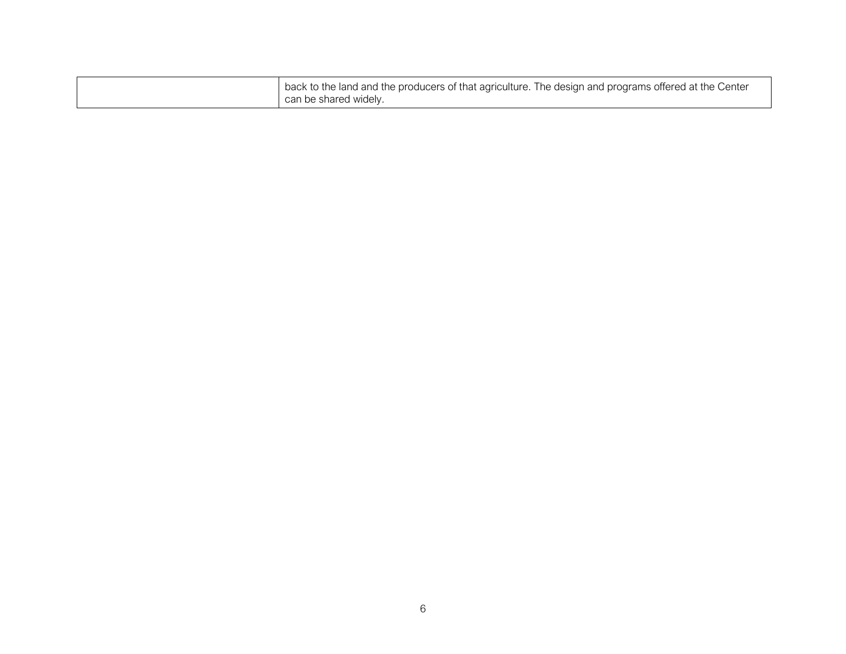| back to the land and the producers of that agriculture. The design and programs offered at the Center |
|-------------------------------------------------------------------------------------------------------|
| can be shared widely.                                                                                 |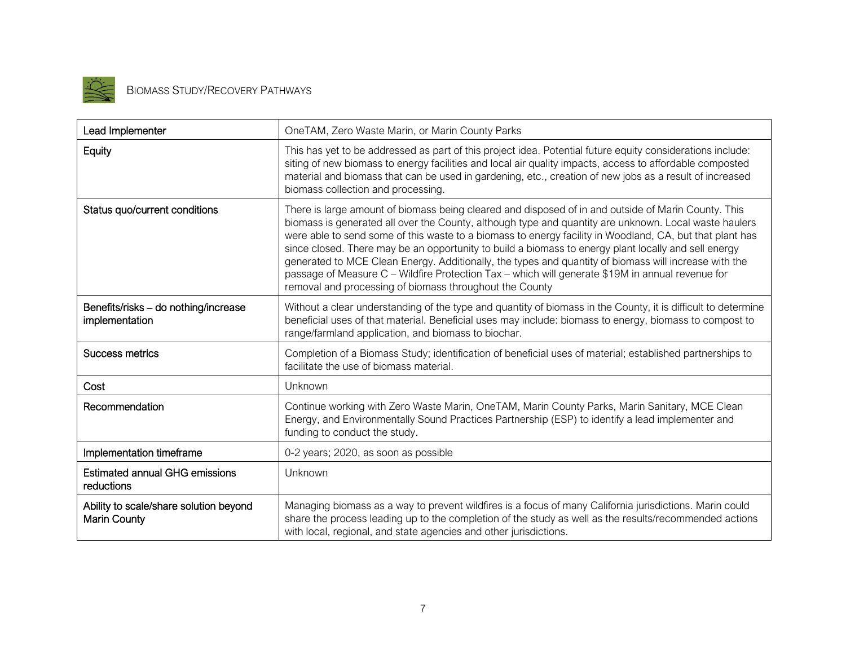

| Lead Implementer                                              | OneTAM, Zero Waste Marin, or Marin County Parks                                                                                                                                                                                                                                                                                                                                                                                                                                                                                                                                                                                                                                                          |
|---------------------------------------------------------------|----------------------------------------------------------------------------------------------------------------------------------------------------------------------------------------------------------------------------------------------------------------------------------------------------------------------------------------------------------------------------------------------------------------------------------------------------------------------------------------------------------------------------------------------------------------------------------------------------------------------------------------------------------------------------------------------------------|
| Equity                                                        | This has yet to be addressed as part of this project idea. Potential future equity considerations include:<br>siting of new biomass to energy facilities and local air quality impacts, access to affordable composted<br>material and biomass that can be used in gardening, etc., creation of new jobs as a result of increased<br>biomass collection and processing.                                                                                                                                                                                                                                                                                                                                  |
| Status quo/current conditions                                 | There is large amount of biomass being cleared and disposed of in and outside of Marin County. This<br>biomass is generated all over the County, although type and quantity are unknown. Local waste haulers<br>were able to send some of this waste to a biomass to energy facility in Woodland, CA, but that plant has<br>since closed. There may be an opportunity to build a biomass to energy plant locally and sell energy<br>generated to MCE Clean Energy. Additionally, the types and quantity of biomass will increase with the<br>passage of Measure C - Wildfire Protection Tax - which will generate \$19M in annual revenue for<br>removal and processing of biomass throughout the County |
| Benefits/risks - do nothing/increase<br>implementation        | Without a clear understanding of the type and quantity of biomass in the County, it is difficult to determine<br>beneficial uses of that material. Beneficial uses may include: biomass to energy, biomass to compost to<br>range/farmland application, and biomass to biochar.                                                                                                                                                                                                                                                                                                                                                                                                                          |
| <b>Success metrics</b>                                        | Completion of a Biomass Study; identification of beneficial uses of material; established partnerships to<br>facilitate the use of biomass material.                                                                                                                                                                                                                                                                                                                                                                                                                                                                                                                                                     |
| Cost                                                          | Unknown                                                                                                                                                                                                                                                                                                                                                                                                                                                                                                                                                                                                                                                                                                  |
| Recommendation                                                | Continue working with Zero Waste Marin, OneTAM, Marin County Parks, Marin Sanitary, MCE Clean<br>Energy, and Environmentally Sound Practices Partnership (ESP) to identify a lead implementer and<br>funding to conduct the study.                                                                                                                                                                                                                                                                                                                                                                                                                                                                       |
| Implementation timeframe                                      | 0-2 years; 2020, as soon as possible                                                                                                                                                                                                                                                                                                                                                                                                                                                                                                                                                                                                                                                                     |
| <b>Estimated annual GHG emissions</b><br>reductions           | Unknown                                                                                                                                                                                                                                                                                                                                                                                                                                                                                                                                                                                                                                                                                                  |
| Ability to scale/share solution beyond<br><b>Marin County</b> | Managing biomass as a way to prevent wildfires is a focus of many California jurisdictions. Marin could<br>share the process leading up to the completion of the study as well as the results/recommended actions<br>with local, regional, and state agencies and other jurisdictions.                                                                                                                                                                                                                                                                                                                                                                                                                   |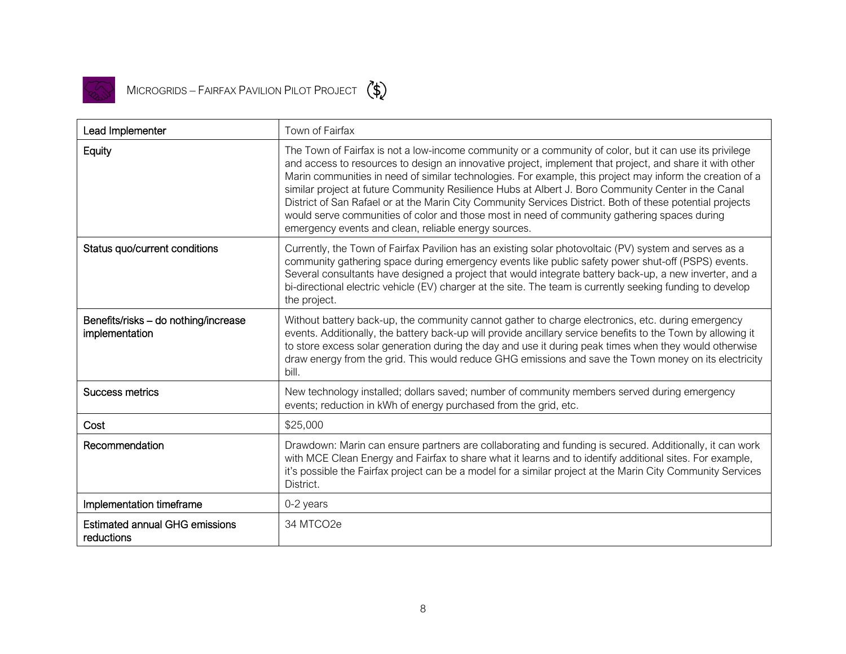

| Lead Implementer                                       | Town of Fairfax                                                                                                                                                                                                                                                                                                                                                                                                                                                                                                                                                                                                                                                                                              |
|--------------------------------------------------------|--------------------------------------------------------------------------------------------------------------------------------------------------------------------------------------------------------------------------------------------------------------------------------------------------------------------------------------------------------------------------------------------------------------------------------------------------------------------------------------------------------------------------------------------------------------------------------------------------------------------------------------------------------------------------------------------------------------|
| Equity                                                 | The Town of Fairfax is not a low-income community or a community of color, but it can use its privilege<br>and access to resources to design an innovative project, implement that project, and share it with other<br>Marin communities in need of similar technologies. For example, this project may inform the creation of a<br>similar project at future Community Resilience Hubs at Albert J. Boro Community Center in the Canal<br>District of San Rafael or at the Marin City Community Services District. Both of these potential projects<br>would serve communities of color and those most in need of community gathering spaces during<br>emergency events and clean, reliable energy sources. |
| Status quo/current conditions                          | Currently, the Town of Fairfax Pavilion has an existing solar photovoltaic (PV) system and serves as a<br>community gathering space during emergency events like public safety power shut-off (PSPS) events.<br>Several consultants have designed a project that would integrate battery back-up, a new inverter, and a<br>bi-directional electric vehicle (EV) charger at the site. The team is currently seeking funding to develop<br>the project.                                                                                                                                                                                                                                                        |
| Benefits/risks - do nothing/increase<br>implementation | Without battery back-up, the community cannot gather to charge electronics, etc. during emergency<br>events. Additionally, the battery back-up will provide ancillary service benefits to the Town by allowing it<br>to store excess solar generation during the day and use it during peak times when they would otherwise<br>draw energy from the grid. This would reduce GHG emissions and save the Town money on its electricity<br>bill.                                                                                                                                                                                                                                                                |
| Success metrics                                        | New technology installed; dollars saved; number of community members served during emergency<br>events; reduction in kWh of energy purchased from the grid, etc.                                                                                                                                                                                                                                                                                                                                                                                                                                                                                                                                             |
| Cost                                                   | \$25,000                                                                                                                                                                                                                                                                                                                                                                                                                                                                                                                                                                                                                                                                                                     |
| Recommendation                                         | Drawdown: Marin can ensure partners are collaborating and funding is secured. Additionally, it can work<br>with MCE Clean Energy and Fairfax to share what it learns and to identify additional sites. For example,<br>it's possible the Fairfax project can be a model for a similar project at the Marin City Community Services<br>District.                                                                                                                                                                                                                                                                                                                                                              |
| Implementation timeframe                               | 0-2 years                                                                                                                                                                                                                                                                                                                                                                                                                                                                                                                                                                                                                                                                                                    |
| <b>Estimated annual GHG emissions</b><br>reductions    | 34 MTCO2e                                                                                                                                                                                                                                                                                                                                                                                                                                                                                                                                                                                                                                                                                                    |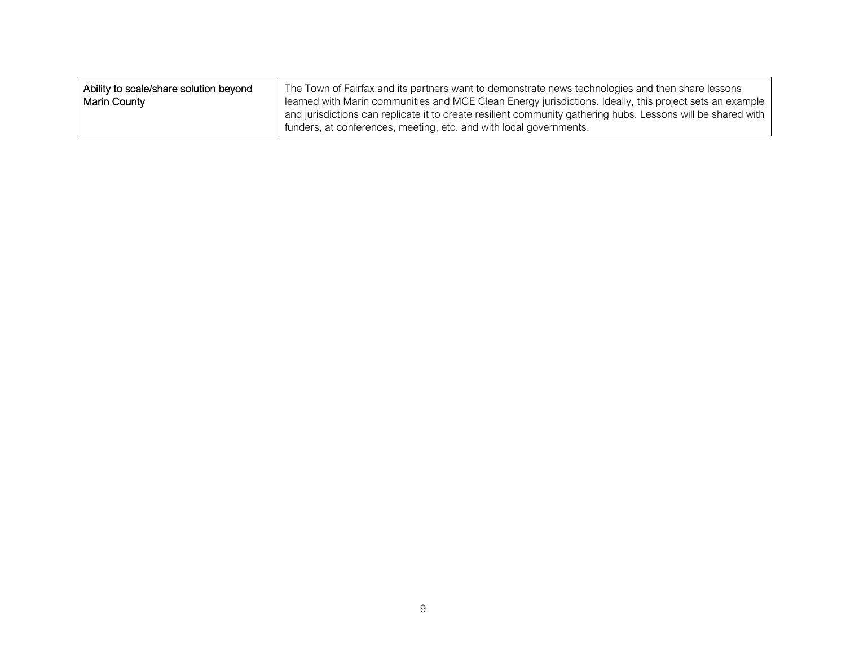| Ability to scale/share solution beyond | The Town of Fairfax and its partners want to demonstrate news technologies and then share lessons            |
|----------------------------------------|--------------------------------------------------------------------------------------------------------------|
| Marin County                           | learned with Marin communities and MCE Clean Energy jurisdictions. Ideally, this project sets an example     |
|                                        | and jurisdictions can replicate it to create resilient community gathering hubs. Lessons will be shared with |
|                                        | funders, at conferences, meeting, etc. and with local governments.                                           |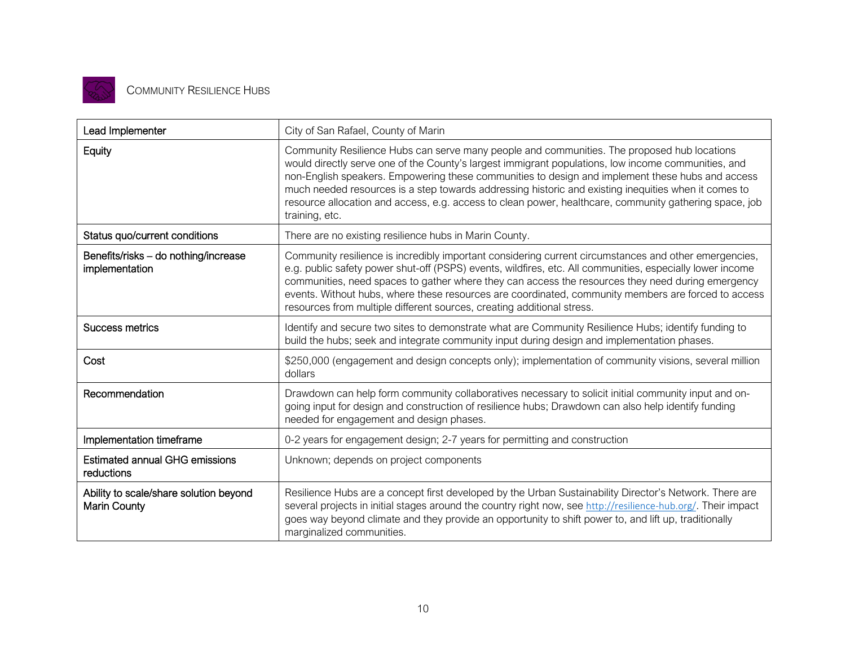

| Lead Implementer                                              | City of San Rafael, County of Marin                                                                                                                                                                                                                                                                                                                                                                                                                                                                                                        |
|---------------------------------------------------------------|--------------------------------------------------------------------------------------------------------------------------------------------------------------------------------------------------------------------------------------------------------------------------------------------------------------------------------------------------------------------------------------------------------------------------------------------------------------------------------------------------------------------------------------------|
| Equity                                                        | Community Resilience Hubs can serve many people and communities. The proposed hub locations<br>would directly serve one of the County's largest immigrant populations, low income communities, and<br>non-English speakers. Empowering these communities to design and implement these hubs and access<br>much needed resources is a step towards addressing historic and existing inequities when it comes to<br>resource allocation and access, e.g. access to clean power, healthcare, community gathering space, job<br>training, etc. |
| Status quo/current conditions                                 | There are no existing resilience hubs in Marin County.                                                                                                                                                                                                                                                                                                                                                                                                                                                                                     |
| Benefits/risks - do nothing/increase<br>implementation        | Community resilience is incredibly important considering current circumstances and other emergencies,<br>e.g. public safety power shut-off (PSPS) events, wildfires, etc. All communities, especially lower income<br>communities, need spaces to gather where they can access the resources they need during emergency<br>events. Without hubs, where these resources are coordinated, community members are forced to access<br>resources from multiple different sources, creating additional stress.                                   |
| Success metrics                                               | Identify and secure two sites to demonstrate what are Community Resilience Hubs; identify funding to<br>build the hubs; seek and integrate community input during design and implementation phases.                                                                                                                                                                                                                                                                                                                                        |
| Cost                                                          | \$250,000 (engagement and design concepts only); implementation of community visions, several million<br>dollars                                                                                                                                                                                                                                                                                                                                                                                                                           |
| Recommendation                                                | Drawdown can help form community collaboratives necessary to solicit initial community input and on-<br>going input for design and construction of resilience hubs; Drawdown can also help identify funding<br>needed for engagement and design phases.                                                                                                                                                                                                                                                                                    |
| Implementation timeframe                                      | 0-2 years for engagement design; 2-7 years for permitting and construction                                                                                                                                                                                                                                                                                                                                                                                                                                                                 |
| <b>Estimated annual GHG emissions</b><br>reductions           | Unknown; depends on project components                                                                                                                                                                                                                                                                                                                                                                                                                                                                                                     |
| Ability to scale/share solution beyond<br><b>Marin County</b> | Resilience Hubs are a concept first developed by the Urban Sustainability Director's Network. There are<br>several projects in initial stages around the country right now, see http://resilience-hub.org/. Their impact<br>goes way beyond climate and they provide an opportunity to shift power to, and lift up, traditionally<br>marginalized communities.                                                                                                                                                                             |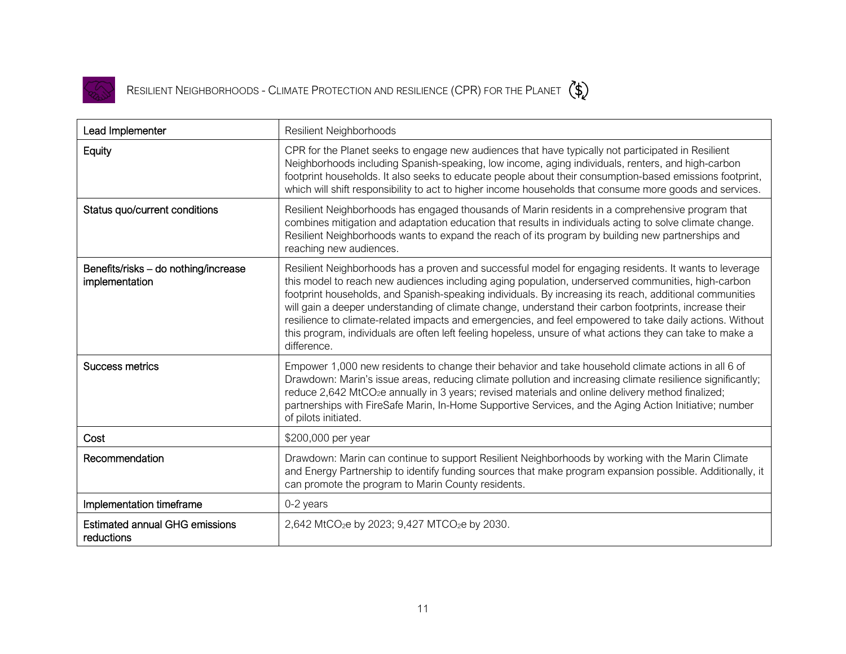

RESILIENT NEIGHBORHOODS - CLIMATE PROTECTION AND RESILIENCE (CPR) FOR THE PLANET  $\binom{4}{3}$ 

| Lead Implementer                                       | <b>Resilient Neighborhoods</b>                                                                                                                                                                                                                                                                                                                                                                                                                                                                                                                                                                                                                                            |
|--------------------------------------------------------|---------------------------------------------------------------------------------------------------------------------------------------------------------------------------------------------------------------------------------------------------------------------------------------------------------------------------------------------------------------------------------------------------------------------------------------------------------------------------------------------------------------------------------------------------------------------------------------------------------------------------------------------------------------------------|
| Equity                                                 | CPR for the Planet seeks to engage new audiences that have typically not participated in Resilient<br>Neighborhoods including Spanish-speaking, low income, aging individuals, renters, and high-carbon<br>footprint households. It also seeks to educate people about their consumption-based emissions footprint,<br>which will shift responsibility to act to higher income households that consume more goods and services.                                                                                                                                                                                                                                           |
| Status quo/current conditions                          | Resilient Neighborhoods has engaged thousands of Marin residents in a comprehensive program that<br>combines mitigation and adaptation education that results in individuals acting to solve climate change.<br>Resilient Neighborhoods wants to expand the reach of its program by building new partnerships and<br>reaching new audiences.                                                                                                                                                                                                                                                                                                                              |
| Benefits/risks - do nothing/increase<br>implementation | Resilient Neighborhoods has a proven and successful model for engaging residents. It wants to leverage<br>this model to reach new audiences including aging population, underserved communities, high-carbon<br>footprint households, and Spanish-speaking individuals. By increasing its reach, additional communities<br>will gain a deeper understanding of climate change, understand their carbon footprints, increase their<br>resilience to climate-related impacts and emergencies, and feel empowered to take daily actions. Without<br>this program, individuals are often left feeling hopeless, unsure of what actions they can take to make a<br>difference. |
| Success metrics                                        | Empower 1,000 new residents to change their behavior and take household climate actions in all 6 of<br>Drawdown: Marin's issue areas, reducing climate pollution and increasing climate resilience significantly;<br>reduce 2,642 MtCO <sub>2</sub> e annually in 3 years; revised materials and online delivery method finalized;<br>partnerships with FireSafe Marin, In-Home Supportive Services, and the Aging Action Initiative; number<br>of pilots initiated.                                                                                                                                                                                                      |
| Cost                                                   | \$200,000 per year                                                                                                                                                                                                                                                                                                                                                                                                                                                                                                                                                                                                                                                        |
| Recommendation                                         | Drawdown: Marin can continue to support Resilient Neighborhoods by working with the Marin Climate<br>and Energy Partnership to identify funding sources that make program expansion possible. Additionally, it<br>can promote the program to Marin County residents.                                                                                                                                                                                                                                                                                                                                                                                                      |
| Implementation timeframe                               | 0-2 years                                                                                                                                                                                                                                                                                                                                                                                                                                                                                                                                                                                                                                                                 |
| <b>Estimated annual GHG emissions</b><br>reductions    | 2,642 MtCO <sub>2</sub> e by 2023; 9,427 MTCO <sub>2</sub> e by 2030.                                                                                                                                                                                                                                                                                                                                                                                                                                                                                                                                                                                                     |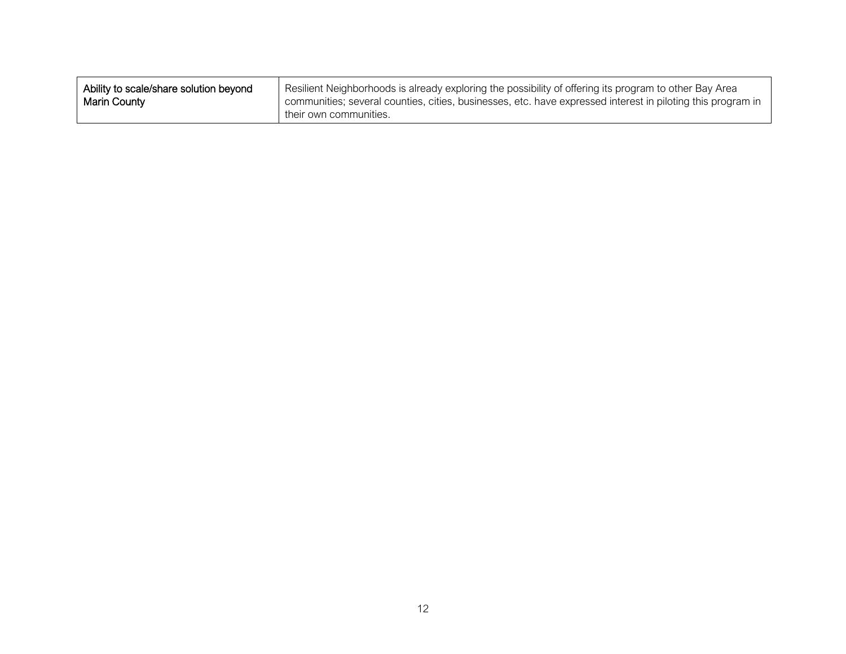| Ability to scale/share solution beyond | Resilient Neighborhoods is already exploring the possibility of offering its program to other Bay Area                                |
|----------------------------------------|---------------------------------------------------------------------------------------------------------------------------------------|
| <b>Marin County</b>                    | communities; several counties, cities, businesses, etc. have expressed interest in piloting this program in<br>their own communities. |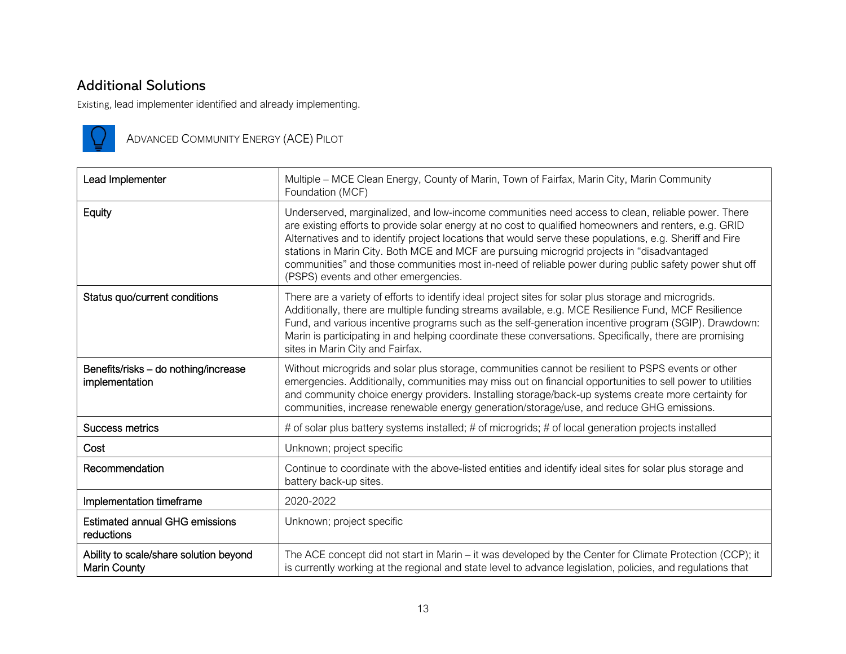#### Additional Solutions

Existing, lead implementer identified and already implementing.



ADVANCED COMMUNITY ENERGY (ACE) PILOT

| Lead Implementer                                              | Multiple - MCE Clean Energy, County of Marin, Town of Fairfax, Marin City, Marin Community<br>Foundation (MCF)                                                                                                                                                                                                                                                                                                                                                                                                                                                         |
|---------------------------------------------------------------|------------------------------------------------------------------------------------------------------------------------------------------------------------------------------------------------------------------------------------------------------------------------------------------------------------------------------------------------------------------------------------------------------------------------------------------------------------------------------------------------------------------------------------------------------------------------|
| Equity                                                        | Underserved, marginalized, and low-income communities need access to clean, reliable power. There<br>are existing efforts to provide solar energy at no cost to qualified homeowners and renters, e.g. GRID<br>Alternatives and to identify project locations that would serve these populations, e.g. Sheriff and Fire<br>stations in Marin City. Both MCE and MCF are pursuing microgrid projects in "disadvantaged<br>communities" and those communities most in-need of reliable power during public safety power shut off<br>(PSPS) events and other emergencies. |
| Status quo/current conditions                                 | There are a variety of efforts to identify ideal project sites for solar plus storage and microgrids.<br>Additionally, there are multiple funding streams available, e.g. MCE Resilience Fund, MCF Resilience<br>Fund, and various incentive programs such as the self-generation incentive program (SGIP). Drawdown:<br>Marin is participating in and helping coordinate these conversations. Specifically, there are promising<br>sites in Marin City and Fairfax.                                                                                                   |
| Benefits/risks - do nothing/increase<br>implementation        | Without microgrids and solar plus storage, communities cannot be resilient to PSPS events or other<br>emergencies. Additionally, communities may miss out on financial opportunities to sell power to utilities<br>and community choice energy providers. Installing storage/back-up systems create more certainty for<br>communities, increase renewable energy generation/storage/use, and reduce GHG emissions.                                                                                                                                                     |
| <b>Success metrics</b>                                        | # of solar plus battery systems installed; # of microgrids; # of local generation projects installed                                                                                                                                                                                                                                                                                                                                                                                                                                                                   |
| Cost                                                          | Unknown; project specific                                                                                                                                                                                                                                                                                                                                                                                                                                                                                                                                              |
| Recommendation                                                | Continue to coordinate with the above-listed entities and identify ideal sites for solar plus storage and<br>battery back-up sites.                                                                                                                                                                                                                                                                                                                                                                                                                                    |
| Implementation timeframe                                      | 2020-2022                                                                                                                                                                                                                                                                                                                                                                                                                                                                                                                                                              |
| <b>Estimated annual GHG emissions</b><br>reductions           | Unknown; project specific                                                                                                                                                                                                                                                                                                                                                                                                                                                                                                                                              |
| Ability to scale/share solution beyond<br><b>Marin County</b> | The ACE concept did not start in Marin – it was developed by the Center for Climate Protection (CCP); it<br>is currently working at the regional and state level to advance legislation, policies, and regulations that                                                                                                                                                                                                                                                                                                                                                |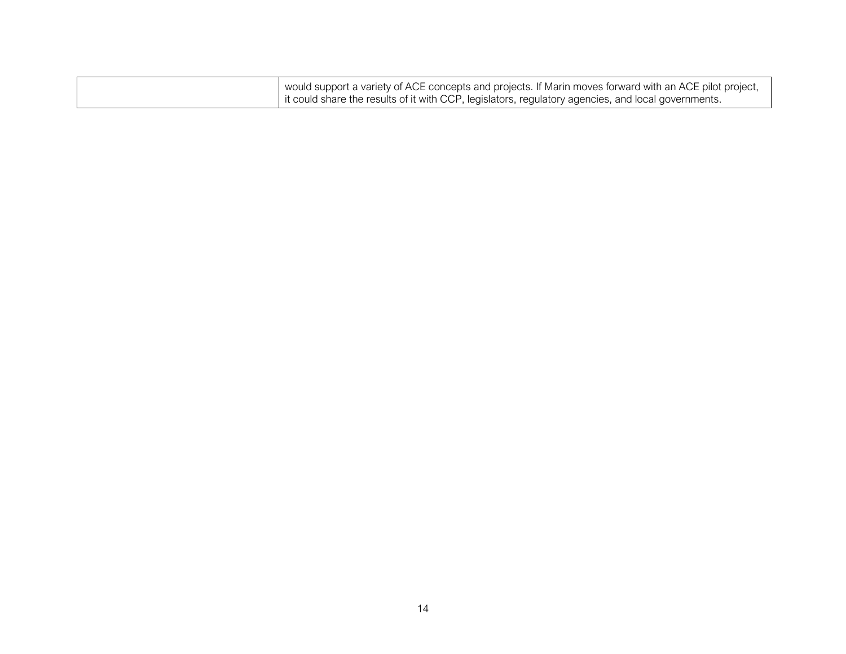| would support a variety of ACE concepts and projects. If Marin moves forward with an ACE pilot project, |
|---------------------------------------------------------------------------------------------------------|
| it could share the results of it with CCP, legislators, regulatory agencies, and local governments.     |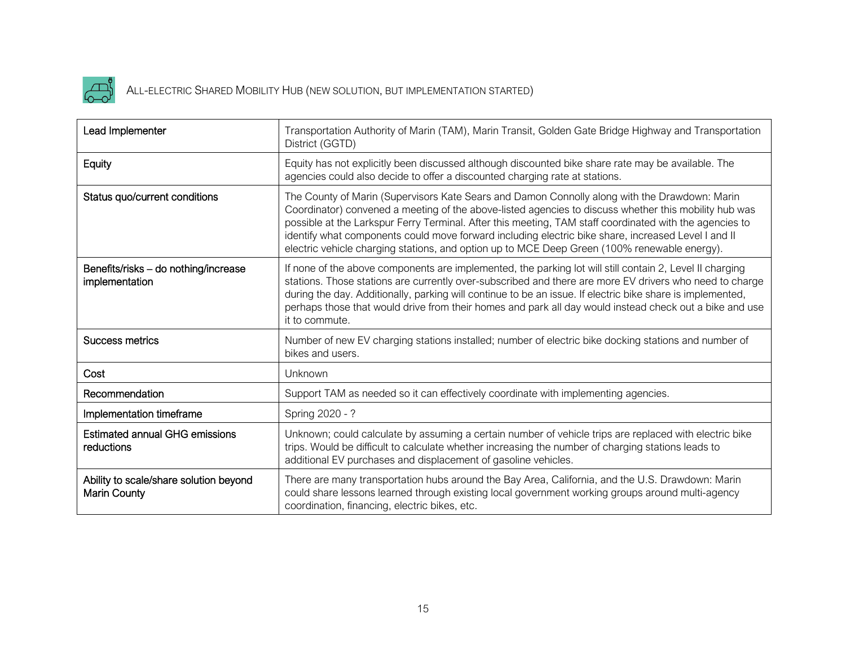

# ALL-ELECTRIC SHARED MOBILITY HUB (NEW SOLUTION, BUT IMPLEMENTATION STARTED)

| Lead Implementer                                              | Transportation Authority of Marin (TAM), Marin Transit, Golden Gate Bridge Highway and Transportation<br>District (GGTD)                                                                                                                                                                                                                                                                                                                                                                                                 |
|---------------------------------------------------------------|--------------------------------------------------------------------------------------------------------------------------------------------------------------------------------------------------------------------------------------------------------------------------------------------------------------------------------------------------------------------------------------------------------------------------------------------------------------------------------------------------------------------------|
| Equity                                                        | Equity has not explicitly been discussed although discounted bike share rate may be available. The<br>agencies could also decide to offer a discounted charging rate at stations.                                                                                                                                                                                                                                                                                                                                        |
| Status quo/current conditions                                 | The County of Marin (Supervisors Kate Sears and Damon Connolly along with the Drawdown: Marin<br>Coordinator) convened a meeting of the above-listed agencies to discuss whether this mobility hub was<br>possible at the Larkspur Ferry Terminal. After this meeting, TAM staff coordinated with the agencies to<br>identify what components could move forward including electric bike share, increased Level I and II<br>electric vehicle charging stations, and option up to MCE Deep Green (100% renewable energy). |
| Benefits/risks - do nothing/increase<br>implementation        | If none of the above components are implemented, the parking lot will still contain 2, Level II charging<br>stations. Those stations are currently over-subscribed and there are more EV drivers who need to charge<br>during the day. Additionally, parking will continue to be an issue. If electric bike share is implemented,<br>perhaps those that would drive from their homes and park all day would instead check out a bike and use<br>it to commute.                                                           |
| <b>Success metrics</b>                                        | Number of new EV charging stations installed; number of electric bike docking stations and number of<br>bikes and users.                                                                                                                                                                                                                                                                                                                                                                                                 |
| Cost                                                          | Unknown                                                                                                                                                                                                                                                                                                                                                                                                                                                                                                                  |
| Recommendation                                                | Support TAM as needed so it can effectively coordinate with implementing agencies.                                                                                                                                                                                                                                                                                                                                                                                                                                       |
| Implementation timeframe                                      | Spring 2020 - ?                                                                                                                                                                                                                                                                                                                                                                                                                                                                                                          |
| <b>Estimated annual GHG emissions</b><br>reductions           | Unknown; could calculate by assuming a certain number of vehicle trips are replaced with electric bike<br>trips. Would be difficult to calculate whether increasing the number of charging stations leads to<br>additional EV purchases and displacement of gasoline vehicles.                                                                                                                                                                                                                                           |
| Ability to scale/share solution beyond<br><b>Marin County</b> | There are many transportation hubs around the Bay Area, California, and the U.S. Drawdown: Marin<br>could share lessons learned through existing local government working groups around multi-agency<br>coordination, financing, electric bikes, etc.                                                                                                                                                                                                                                                                    |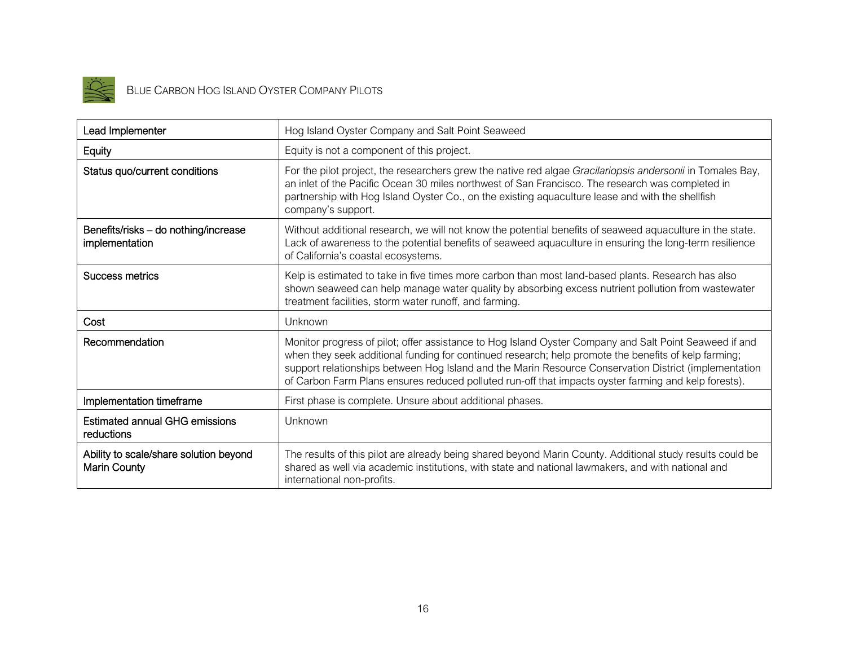

# BLUE CARBON HOG ISLAND OYSTER COMPANY PILOTS

| Lead Implementer                                       | Hog Island Oyster Company and Salt Point Seaweed                                                                                                                                                                                                                                                                                                                                                                                |
|--------------------------------------------------------|---------------------------------------------------------------------------------------------------------------------------------------------------------------------------------------------------------------------------------------------------------------------------------------------------------------------------------------------------------------------------------------------------------------------------------|
| Equity                                                 | Equity is not a component of this project.                                                                                                                                                                                                                                                                                                                                                                                      |
| Status quo/current conditions                          | For the pilot project, the researchers grew the native red algae Gracilariopsis andersonii in Tomales Bay,<br>an inlet of the Pacific Ocean 30 miles northwest of San Francisco. The research was completed in<br>partnership with Hog Island Oyster Co., on the existing aquaculture lease and with the shellfish<br>company's support.                                                                                        |
| Benefits/risks - do nothing/increase<br>implementation | Without additional research, we will not know the potential benefits of seaweed aquaculture in the state.<br>Lack of awareness to the potential benefits of seaweed aquaculture in ensuring the long-term resilience<br>of California's coastal ecosystems.                                                                                                                                                                     |
| Success metrics                                        | Kelp is estimated to take in five times more carbon than most land-based plants. Research has also<br>shown seaweed can help manage water quality by absorbing excess nutrient pollution from wastewater<br>treatment facilities, storm water runoff, and farming.                                                                                                                                                              |
| Cost                                                   | Unknown                                                                                                                                                                                                                                                                                                                                                                                                                         |
| Recommendation                                         | Monitor progress of pilot; offer assistance to Hog Island Oyster Company and Salt Point Seaweed if and<br>when they seek additional funding for continued research; help promote the benefits of kelp farming;<br>support relationships between Hog Island and the Marin Resource Conservation District (implementation<br>of Carbon Farm Plans ensures reduced polluted run-off that impacts oyster farming and kelp forests). |
| Implementation timeframe                               | First phase is complete. Unsure about additional phases.                                                                                                                                                                                                                                                                                                                                                                        |
| <b>Estimated annual GHG emissions</b><br>reductions    | Unknown                                                                                                                                                                                                                                                                                                                                                                                                                         |
| Ability to scale/share solution beyond<br>Marin County | The results of this pilot are already being shared beyond Marin County. Additional study results could be<br>shared as well via academic institutions, with state and national lawmakers, and with national and<br>international non-profits.                                                                                                                                                                                   |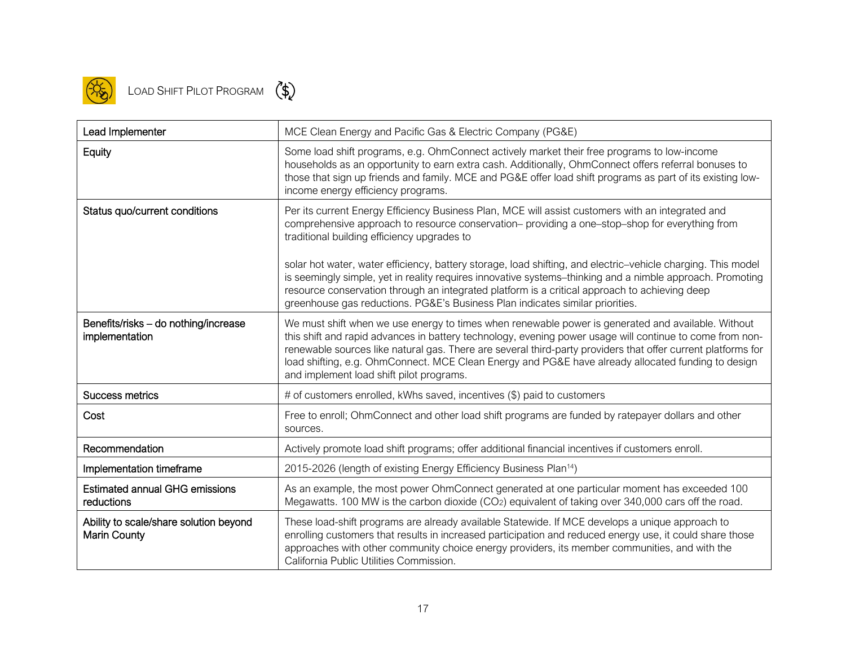

# LOAD SHIFT PILOT PROGRAM (\$)

| Lead Implementer                                              | MCE Clean Energy and Pacific Gas & Electric Company (PG&E)                                                                                                                                                                                                                                                                                                                                                                                                                       |
|---------------------------------------------------------------|----------------------------------------------------------------------------------------------------------------------------------------------------------------------------------------------------------------------------------------------------------------------------------------------------------------------------------------------------------------------------------------------------------------------------------------------------------------------------------|
| Equity                                                        | Some load shift programs, e.g. OhmConnect actively market their free programs to low-income<br>households as an opportunity to earn extra cash. Additionally, OhmConnect offers referral bonuses to<br>those that sign up friends and family. MCE and PG&E offer load shift programs as part of its existing low-<br>income energy efficiency programs.                                                                                                                          |
| Status quo/current conditions                                 | Per its current Energy Efficiency Business Plan, MCE will assist customers with an integrated and<br>comprehensive approach to resource conservation- providing a one-stop-shop for everything from<br>traditional building efficiency upgrades to                                                                                                                                                                                                                               |
|                                                               | solar hot water, water efficiency, battery storage, load shifting, and electric-vehicle charging. This model<br>is seemingly simple, yet in reality requires innovative systems-thinking and a nimble approach. Promoting<br>resource conservation through an integrated platform is a critical approach to achieving deep<br>greenhouse gas reductions. PG&E's Business Plan indicates similar priorities.                                                                      |
| Benefits/risks - do nothing/increase<br>implementation        | We must shift when we use energy to times when renewable power is generated and available. Without<br>this shift and rapid advances in battery technology, evening power usage will continue to come from non-<br>renewable sources like natural gas. There are several third-party providers that offer current platforms for<br>load shifting, e.g. OhmConnect. MCE Clean Energy and PG&E have already allocated funding to design<br>and implement load shift pilot programs. |
| <b>Success metrics</b>                                        | # of customers enrolled, kWhs saved, incentives (\$) paid to customers                                                                                                                                                                                                                                                                                                                                                                                                           |
| Cost                                                          | Free to enroll; OhmConnect and other load shift programs are funded by ratepayer dollars and other<br>sources.                                                                                                                                                                                                                                                                                                                                                                   |
| Recommendation                                                | Actively promote load shift programs; offer additional financial incentives if customers enroll.                                                                                                                                                                                                                                                                                                                                                                                 |
| Implementation timeframe                                      | 2015-2026 (length of existing Energy Efficiency Business Plan <sup>14</sup> )                                                                                                                                                                                                                                                                                                                                                                                                    |
| <b>Estimated annual GHG emissions</b><br>reductions           | As an example, the most power OhmConnect generated at one particular moment has exceeded 100<br>Megawatts. 100 MW is the carbon dioxide (CO2) equivalent of taking over 340,000 cars off the road.                                                                                                                                                                                                                                                                               |
| Ability to scale/share solution beyond<br><b>Marin County</b> | These load-shift programs are already available Statewide. If MCE develops a unique approach to<br>enrolling customers that results in increased participation and reduced energy use, it could share those<br>approaches with other community choice energy providers, its member communities, and with the<br>California Public Utilities Commission.                                                                                                                          |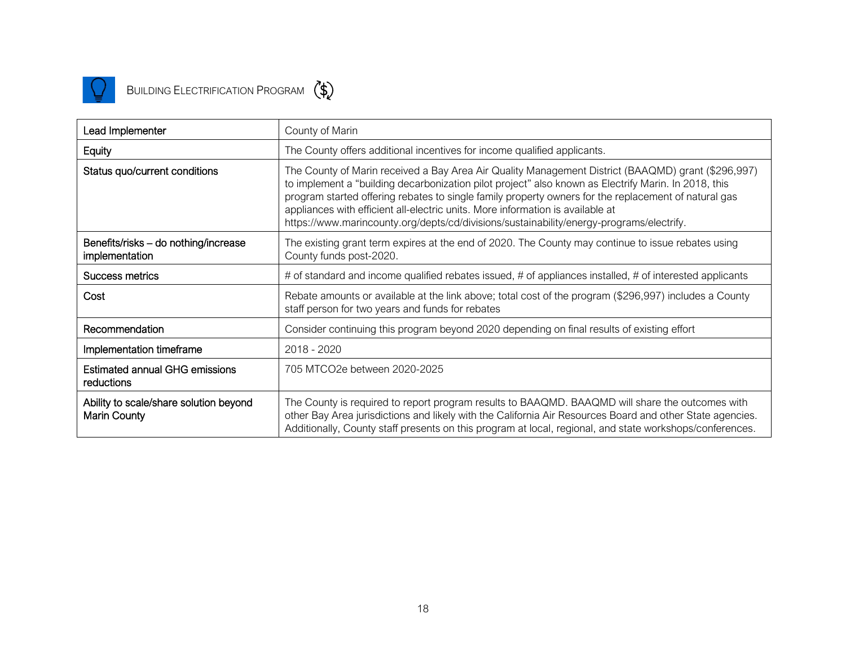

| Lead Implementer                                              | County of Marin                                                                                                                                                                                                                                                                                                                                                                                                                                                                                  |
|---------------------------------------------------------------|--------------------------------------------------------------------------------------------------------------------------------------------------------------------------------------------------------------------------------------------------------------------------------------------------------------------------------------------------------------------------------------------------------------------------------------------------------------------------------------------------|
| Equity                                                        | The County offers additional incentives for income qualified applicants.                                                                                                                                                                                                                                                                                                                                                                                                                         |
| Status quo/current conditions                                 | The County of Marin received a Bay Area Air Quality Management District (BAAQMD) grant (\$296,997)<br>to implement a "building decarbonization pilot project" also known as Electrify Marin. In 2018, this<br>program started offering rebates to single family property owners for the replacement of natural gas<br>appliances with efficient all-electric units. More information is available at<br>https://www.marincounty.org/depts/cd/divisions/sustainability/energy-programs/electrify. |
| Benefits/risks - do nothing/increase<br>implementation        | The existing grant term expires at the end of 2020. The County may continue to issue rebates using<br>County funds post-2020.                                                                                                                                                                                                                                                                                                                                                                    |
| Success metrics                                               | # of standard and income qualified rebates issued, # of appliances installed, # of interested applicants                                                                                                                                                                                                                                                                                                                                                                                         |
| Cost                                                          | Rebate amounts or available at the link above; total cost of the program (\$296,997) includes a County<br>staff person for two years and funds for rebates                                                                                                                                                                                                                                                                                                                                       |
| Recommendation                                                | Consider continuing this program beyond 2020 depending on final results of existing effort                                                                                                                                                                                                                                                                                                                                                                                                       |
| Implementation timeframe                                      | 2018 - 2020                                                                                                                                                                                                                                                                                                                                                                                                                                                                                      |
| <b>Estimated annual GHG emissions</b><br>reductions           | 705 MTCO2e between 2020-2025                                                                                                                                                                                                                                                                                                                                                                                                                                                                     |
| Ability to scale/share solution beyond<br><b>Marin County</b> | The County is required to report program results to BAAQMD. BAAQMD will share the outcomes with<br>other Bay Area jurisdictions and likely with the California Air Resources Board and other State agencies.<br>Additionally, County staff presents on this program at local, regional, and state workshops/conferences.                                                                                                                                                                         |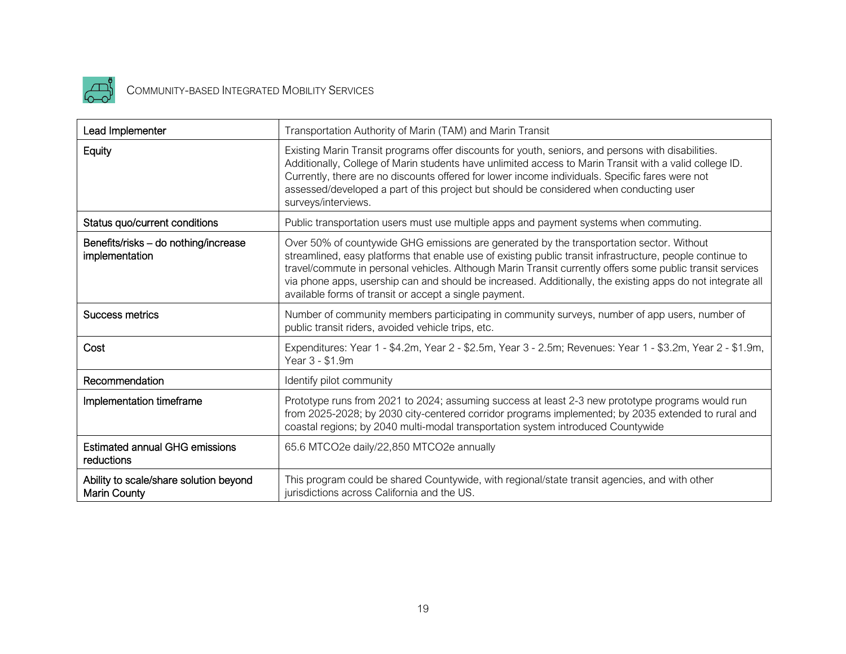

# COMMUNITY-BASED INTEGRATED MOBILITY SERVICES

| Lead Implementer                                       | Transportation Authority of Marin (TAM) and Marin Transit                                                                                                                                                                                                                                                                                                                                                                                                                                  |
|--------------------------------------------------------|--------------------------------------------------------------------------------------------------------------------------------------------------------------------------------------------------------------------------------------------------------------------------------------------------------------------------------------------------------------------------------------------------------------------------------------------------------------------------------------------|
| Equity                                                 | Existing Marin Transit programs offer discounts for youth, seniors, and persons with disabilities.<br>Additionally, College of Marin students have unlimited access to Marin Transit with a valid college ID.<br>Currently, there are no discounts offered for lower income individuals. Specific fares were not<br>assessed/developed a part of this project but should be considered when conducting user<br>surveys/interviews.                                                         |
| Status quo/current conditions                          | Public transportation users must use multiple apps and payment systems when commuting.                                                                                                                                                                                                                                                                                                                                                                                                     |
| Benefits/risks - do nothing/increase<br>implementation | Over 50% of countywide GHG emissions are generated by the transportation sector. Without<br>streamlined, easy platforms that enable use of existing public transit infrastructure, people continue to<br>travel/commute in personal vehicles. Although Marin Transit currently offers some public transit services<br>via phone apps, usership can and should be increased. Additionally, the existing apps do not integrate all<br>available forms of transit or accept a single payment. |
| <b>Success metrics</b>                                 | Number of community members participating in community surveys, number of app users, number of<br>public transit riders, avoided vehicle trips, etc.                                                                                                                                                                                                                                                                                                                                       |
| Cost                                                   | Expenditures: Year 1 - \$4.2m, Year 2 - \$2.5m, Year 3 - 2.5m; Revenues: Year 1 - \$3.2m, Year 2 - \$1.9m,<br>Year 3 - \$1.9m                                                                                                                                                                                                                                                                                                                                                              |
| Recommendation                                         | Identify pilot community                                                                                                                                                                                                                                                                                                                                                                                                                                                                   |
| Implementation timeframe                               | Prototype runs from 2021 to 2024; assuming success at least 2-3 new prototype programs would run<br>from 2025-2028; by 2030 city-centered corridor programs implemented; by 2035 extended to rural and<br>coastal regions; by 2040 multi-modal transportation system introduced Countywide                                                                                                                                                                                                 |
| <b>Estimated annual GHG emissions</b><br>reductions    | 65.6 MTCO2e daily/22,850 MTCO2e annually                                                                                                                                                                                                                                                                                                                                                                                                                                                   |
| Ability to scale/share solution beyond<br>Marin County | This program could be shared Countywide, with regional/state transit agencies, and with other<br>jurisdictions across California and the US.                                                                                                                                                                                                                                                                                                                                               |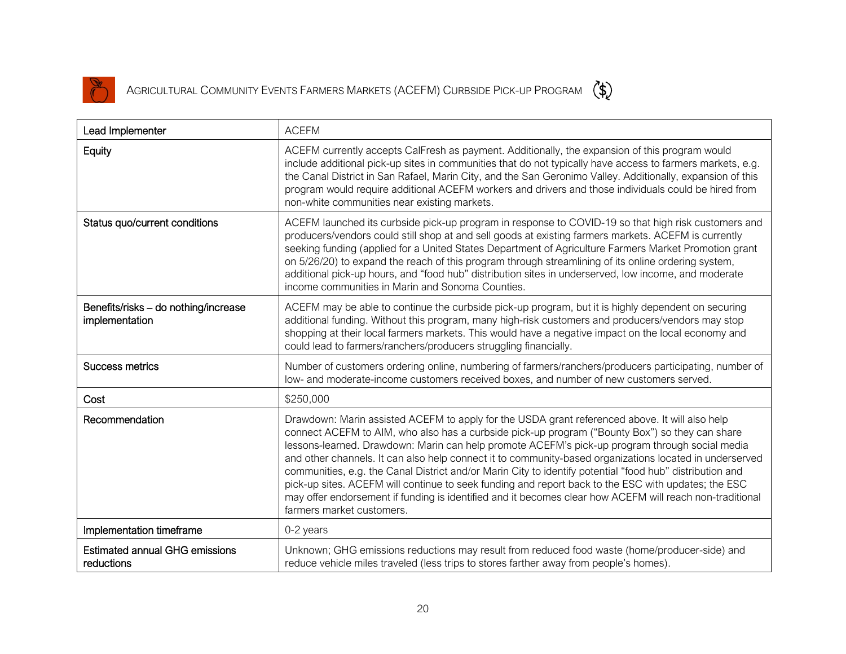

AGRICULTURAL COMMUNITY EVENTS FARMERS MARKETS (ACEFM) CURBSIDE PICK-UP PROGRAM (\$)

| Lead Implementer                                       | <b>ACEFM</b>                                                                                                                                                                                                                                                                                                                                                                                                                                                                                                                                                                                                                                                                                                                                                              |
|--------------------------------------------------------|---------------------------------------------------------------------------------------------------------------------------------------------------------------------------------------------------------------------------------------------------------------------------------------------------------------------------------------------------------------------------------------------------------------------------------------------------------------------------------------------------------------------------------------------------------------------------------------------------------------------------------------------------------------------------------------------------------------------------------------------------------------------------|
| Equity                                                 | ACEFM currently accepts CalFresh as payment. Additionally, the expansion of this program would<br>include additional pick-up sites in communities that do not typically have access to farmers markets, e.g.<br>the Canal District in San Rafael, Marin City, and the San Geronimo Valley. Additionally, expansion of this<br>program would require additional ACEFM workers and drivers and those individuals could be hired from<br>non-white communities near existing markets.                                                                                                                                                                                                                                                                                        |
| Status quo/current conditions                          | ACEFM launched its curbside pick-up program in response to COVID-19 so that high risk customers and<br>producers/vendors could still shop at and sell goods at existing farmers markets. ACEFM is currently<br>seeking funding (applied for a United States Department of Agriculture Farmers Market Promotion grant<br>on 5/26/20) to expand the reach of this program through streamlining of its online ordering system,<br>additional pick-up hours, and "food hub" distribution sites in underserved, low income, and moderate<br>income communities in Marin and Sonoma Counties.                                                                                                                                                                                   |
| Benefits/risks - do nothing/increase<br>implementation | ACEFM may be able to continue the curbside pick-up program, but it is highly dependent on securing<br>additional funding. Without this program, many high-risk customers and producers/vendors may stop<br>shopping at their local farmers markets. This would have a negative impact on the local economy and<br>could lead to farmers/ranchers/producers struggling financially.                                                                                                                                                                                                                                                                                                                                                                                        |
| <b>Success metrics</b>                                 | Number of customers ordering online, numbering of farmers/ranchers/producers participating, number of<br>low- and moderate-income customers received boxes, and number of new customers served.                                                                                                                                                                                                                                                                                                                                                                                                                                                                                                                                                                           |
| Cost                                                   | \$250,000                                                                                                                                                                                                                                                                                                                                                                                                                                                                                                                                                                                                                                                                                                                                                                 |
| Recommendation                                         | Drawdown: Marin assisted ACEFM to apply for the USDA grant referenced above. It will also help<br>connect ACEFM to AIM, who also has a curbside pick-up program ("Bounty Box") so they can share<br>lessons-learned. Drawdown: Marin can help promote ACEFM's pick-up program through social media<br>and other channels. It can also help connect it to community-based organizations located in underserved<br>communities, e.g. the Canal District and/or Marin City to identify potential "food hub" distribution and<br>pick-up sites. ACEFM will continue to seek funding and report back to the ESC with updates; the ESC<br>may offer endorsement if funding is identified and it becomes clear how ACEFM will reach non-traditional<br>farmers market customers. |
| Implementation timeframe                               | 0-2 years                                                                                                                                                                                                                                                                                                                                                                                                                                                                                                                                                                                                                                                                                                                                                                 |
| <b>Estimated annual GHG emissions</b><br>reductions    | Unknown; GHG emissions reductions may result from reduced food waste (home/producer-side) and<br>reduce vehicle miles traveled (less trips to stores farther away from people's homes).                                                                                                                                                                                                                                                                                                                                                                                                                                                                                                                                                                                   |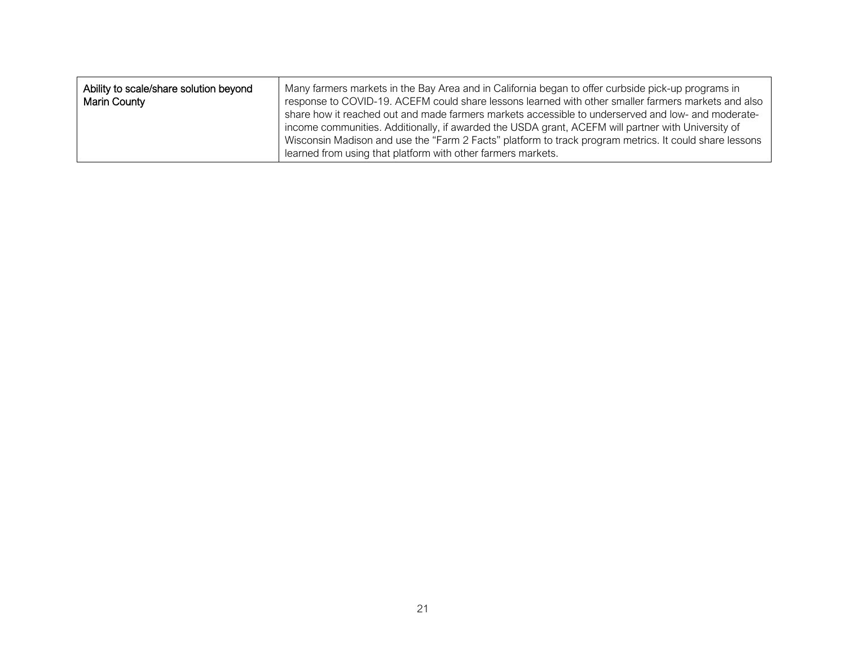| Ability to scale/share solution beyond<br><b>Marin County</b> | Many farmers markets in the Bay Area and in California began to offer curbside pick-up programs in<br>response to COVID-19. ACEFM could share lessons learned with other smaller farmers markets and also<br>share how it reached out and made farmers markets accessible to underserved and low- and moderate-<br>income communities. Additionally, if awarded the USDA grant, ACEFM will partner with University of<br>Wisconsin Madison and use the "Farm 2 Facts" platform to track program metrics. It could share lessons |
|---------------------------------------------------------------|---------------------------------------------------------------------------------------------------------------------------------------------------------------------------------------------------------------------------------------------------------------------------------------------------------------------------------------------------------------------------------------------------------------------------------------------------------------------------------------------------------------------------------|
|                                                               | learned from using that platform with other farmers markets.                                                                                                                                                                                                                                                                                                                                                                                                                                                                    |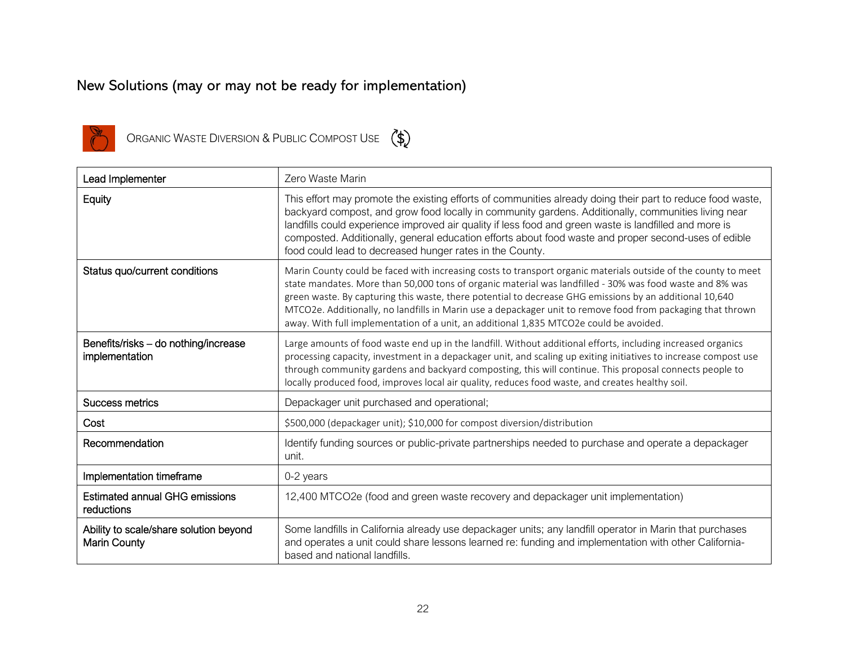### New Solutions (may or may not be ready for implementation)



ORGANIC WASTE DIVERSION & PUBLIC COMPOST USE  $(*)$ 

| Lead Implementer                                              | Zero Waste Marin                                                                                                                                                                                                                                                                                                                                                                                                                                                                                                                               |
|---------------------------------------------------------------|------------------------------------------------------------------------------------------------------------------------------------------------------------------------------------------------------------------------------------------------------------------------------------------------------------------------------------------------------------------------------------------------------------------------------------------------------------------------------------------------------------------------------------------------|
| Equity                                                        | This effort may promote the existing efforts of communities already doing their part to reduce food waste,<br>backyard compost, and grow food locally in community gardens. Additionally, communities living near<br>landfills could experience improved air quality if less food and green waste is landfilled and more is<br>composted. Additionally, general education efforts about food waste and proper second-uses of edible<br>food could lead to decreased hunger rates in the County.                                                |
| Status quo/current conditions                                 | Marin County could be faced with increasing costs to transport organic materials outside of the county to meet<br>state mandates. More than 50,000 tons of organic material was landfilled - 30% was food waste and 8% was<br>green waste. By capturing this waste, there potential to decrease GHG emissions by an additional 10,640<br>MTCO2e. Additionally, no landfills in Marin use a depackager unit to remove food from packaging that thrown<br>away. With full implementation of a unit, an additional 1,835 MTCO2e could be avoided. |
| Benefits/risks - do nothing/increase<br>implementation        | Large amounts of food waste end up in the landfill. Without additional efforts, including increased organics<br>processing capacity, investment in a depackager unit, and scaling up exiting initiatives to increase compost use<br>through community gardens and backyard composting, this will continue. This proposal connects people to<br>locally produced food, improves local air quality, reduces food waste, and creates healthy soil.                                                                                                |
| Success metrics                                               | Depackager unit purchased and operational;                                                                                                                                                                                                                                                                                                                                                                                                                                                                                                     |
| Cost                                                          | \$500,000 (depackager unit); \$10,000 for compost diversion/distribution                                                                                                                                                                                                                                                                                                                                                                                                                                                                       |
| Recommendation                                                | Identify funding sources or public-private partnerships needed to purchase and operate a depackager<br>unit.                                                                                                                                                                                                                                                                                                                                                                                                                                   |
| Implementation timeframe                                      | 0-2 years                                                                                                                                                                                                                                                                                                                                                                                                                                                                                                                                      |
| <b>Estimated annual GHG emissions</b><br>reductions           | 12,400 MTCO2e (food and green waste recovery and depackager unit implementation)                                                                                                                                                                                                                                                                                                                                                                                                                                                               |
| Ability to scale/share solution beyond<br><b>Marin County</b> | Some landfills in California already use depackager units; any landfill operator in Marin that purchases<br>and operates a unit could share lessons learned re: funding and implementation with other California-<br>based and national landfills.                                                                                                                                                                                                                                                                                             |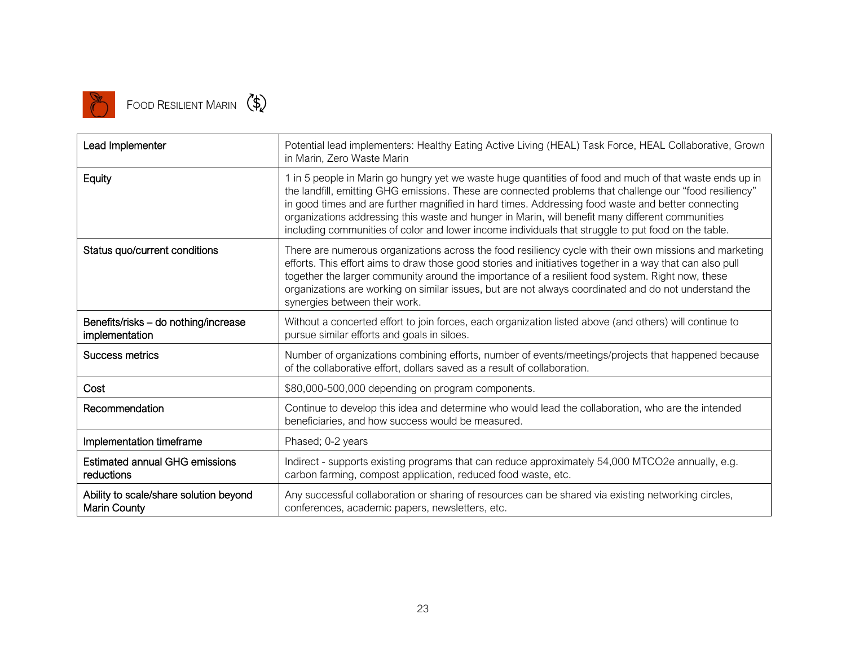

# FOOD RESILIENT MARIN (\$)

| Lead Implementer                                              | Potential lead implementers: Healthy Eating Active Living (HEAL) Task Force, HEAL Collaborative, Grown<br>in Marin, Zero Waste Marin                                                                                                                                                                                                                                                                                                                                                                                                |
|---------------------------------------------------------------|-------------------------------------------------------------------------------------------------------------------------------------------------------------------------------------------------------------------------------------------------------------------------------------------------------------------------------------------------------------------------------------------------------------------------------------------------------------------------------------------------------------------------------------|
| Equity                                                        | 1 in 5 people in Marin go hungry yet we waste huge quantities of food and much of that waste ends up in<br>the landfill, emitting GHG emissions. These are connected problems that challenge our "food resiliency"<br>in good times and are further magnified in hard times. Addressing food waste and better connecting<br>organizations addressing this waste and hunger in Marin, will benefit many different communities<br>including communities of color and lower income individuals that struggle to put food on the table. |
| Status quo/current conditions                                 | There are numerous organizations across the food resiliency cycle with their own missions and marketing<br>efforts. This effort aims to draw those good stories and initiatives together in a way that can also pull<br>together the larger community around the importance of a resilient food system. Right now, these<br>organizations are working on similar issues, but are not always coordinated and do not understand the<br>synergies between their work.                                                                  |
| Benefits/risks - do nothing/increase<br>implementation        | Without a concerted effort to join forces, each organization listed above (and others) will continue to<br>pursue similar efforts and goals in siloes.                                                                                                                                                                                                                                                                                                                                                                              |
| <b>Success metrics</b>                                        | Number of organizations combining efforts, number of events/meetings/projects that happened because<br>of the collaborative effort, dollars saved as a result of collaboration.                                                                                                                                                                                                                                                                                                                                                     |
| Cost                                                          | \$80,000-500,000 depending on program components.                                                                                                                                                                                                                                                                                                                                                                                                                                                                                   |
| Recommendation                                                | Continue to develop this idea and determine who would lead the collaboration, who are the intended<br>beneficiaries, and how success would be measured.                                                                                                                                                                                                                                                                                                                                                                             |
| Implementation timeframe                                      | Phased; 0-2 years                                                                                                                                                                                                                                                                                                                                                                                                                                                                                                                   |
| <b>Estimated annual GHG emissions</b><br>reductions           | Indirect - supports existing programs that can reduce approximately 54,000 MTCO2e annually, e.g.<br>carbon farming, compost application, reduced food waste, etc.                                                                                                                                                                                                                                                                                                                                                                   |
| Ability to scale/share solution beyond<br><b>Marin County</b> | Any successful collaboration or sharing of resources can be shared via existing networking circles,<br>conferences, academic papers, newsletters, etc.                                                                                                                                                                                                                                                                                                                                                                              |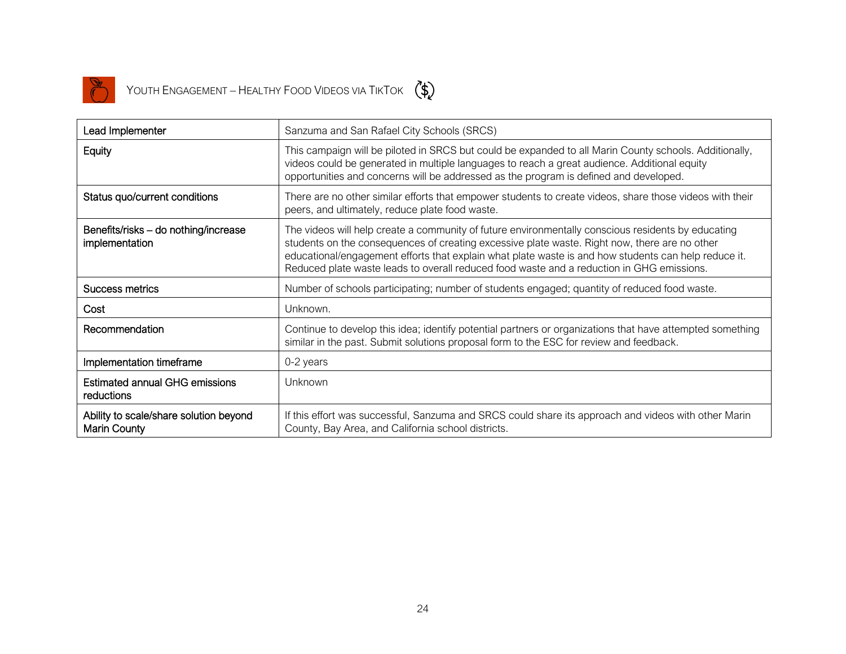

YOUTH ENGAGEMENT – HEALTHY FOOD VIDEOS VIA TIKTOK  $\left(\begin{matrix} \ast \ \ast \end{matrix}\right)$ 



| Lead Implementer                                              | Sanzuma and San Rafael City Schools (SRCS)                                                                                                                                                                                                                                                                                                                                                               |
|---------------------------------------------------------------|----------------------------------------------------------------------------------------------------------------------------------------------------------------------------------------------------------------------------------------------------------------------------------------------------------------------------------------------------------------------------------------------------------|
| Equity                                                        | This campaign will be piloted in SRCS but could be expanded to all Marin County schools. Additionally,<br>videos could be generated in multiple languages to reach a great audience. Additional equity<br>opportunities and concerns will be addressed as the program is defined and developed.                                                                                                          |
| Status quo/current conditions                                 | There are no other similar efforts that empower students to create videos, share those videos with their<br>peers, and ultimately, reduce plate food waste.                                                                                                                                                                                                                                              |
| Benefits/risks - do nothing/increase<br>implementation        | The videos will help create a community of future environmentally conscious residents by educating<br>students on the consequences of creating excessive plate waste. Right now, there are no other<br>educational/engagement efforts that explain what plate waste is and how students can help reduce it.<br>Reduced plate waste leads to overall reduced food waste and a reduction in GHG emissions. |
| Success metrics                                               | Number of schools participating; number of students engaged; quantity of reduced food waste.                                                                                                                                                                                                                                                                                                             |
| Cost                                                          | Unknown.                                                                                                                                                                                                                                                                                                                                                                                                 |
| Recommendation                                                | Continue to develop this idea; identify potential partners or organizations that have attempted something<br>similar in the past. Submit solutions proposal form to the ESC for review and feedback.                                                                                                                                                                                                     |
| Implementation timeframe                                      | 0-2 years                                                                                                                                                                                                                                                                                                                                                                                                |
| <b>Estimated annual GHG emissions</b><br>reductions           | Unknown                                                                                                                                                                                                                                                                                                                                                                                                  |
| Ability to scale/share solution beyond<br><b>Marin County</b> | If this effort was successful, Sanzuma and SRCS could share its approach and videos with other Marin<br>County, Bay Area, and California school districts.                                                                                                                                                                                                                                               |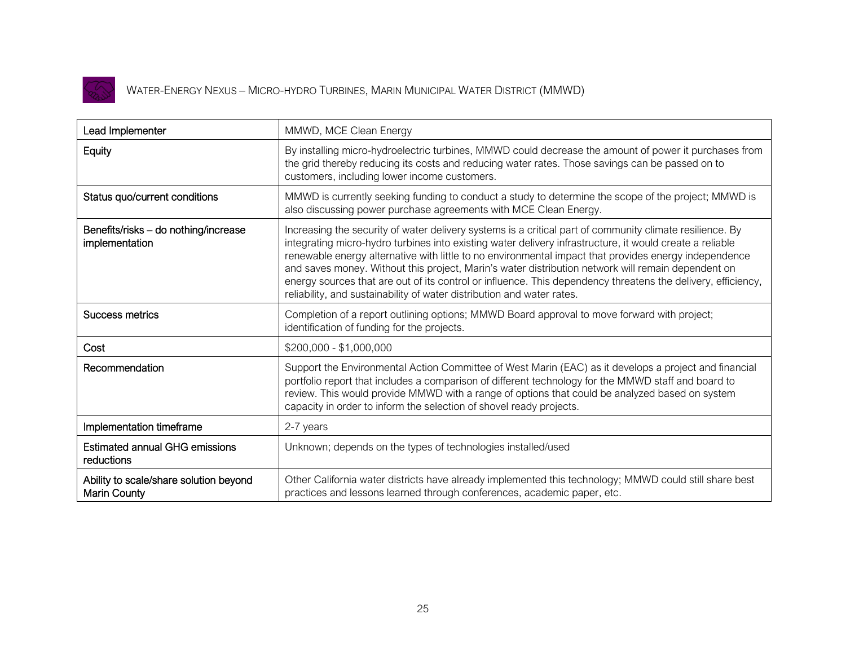

### WATER-ENERGY NEXUS – MICRO-HYDRO TURBINES, MARIN MUNICIPAL WATER DISTRICT (MMWD)

| Lead Implementer                                              | MMWD, MCE Clean Energy                                                                                                                                                                                                                                                                                                                                                                                                                                                                                                                                                                                                        |
|---------------------------------------------------------------|-------------------------------------------------------------------------------------------------------------------------------------------------------------------------------------------------------------------------------------------------------------------------------------------------------------------------------------------------------------------------------------------------------------------------------------------------------------------------------------------------------------------------------------------------------------------------------------------------------------------------------|
| Equity                                                        | By installing micro-hydroelectric turbines, MMWD could decrease the amount of power it purchases from<br>the grid thereby reducing its costs and reducing water rates. Those savings can be passed on to<br>customers, including lower income customers.                                                                                                                                                                                                                                                                                                                                                                      |
| Status quo/current conditions                                 | MMWD is currently seeking funding to conduct a study to determine the scope of the project; MMWD is<br>also discussing power purchase agreements with MCE Clean Energy.                                                                                                                                                                                                                                                                                                                                                                                                                                                       |
| Benefits/risks - do nothing/increase<br>implementation        | Increasing the security of water delivery systems is a critical part of community climate resilience. By<br>integrating micro-hydro turbines into existing water delivery infrastructure, it would create a reliable<br>renewable energy alternative with little to no environmental impact that provides energy independence<br>and saves money. Without this project, Marin's water distribution network will remain dependent on<br>energy sources that are out of its control or influence. This dependency threatens the delivery, efficiency,<br>reliability, and sustainability of water distribution and water rates. |
| Success metrics                                               | Completion of a report outlining options; MMWD Board approval to move forward with project;<br>identification of funding for the projects.                                                                                                                                                                                                                                                                                                                                                                                                                                                                                    |
| Cost                                                          | $$200,000 - $1,000,000$                                                                                                                                                                                                                                                                                                                                                                                                                                                                                                                                                                                                       |
| Recommendation                                                | Support the Environmental Action Committee of West Marin (EAC) as it develops a project and financial<br>portfolio report that includes a comparison of different technology for the MMWD staff and board to<br>review. This would provide MMWD with a range of options that could be analyzed based on system<br>capacity in order to inform the selection of shovel ready projects.                                                                                                                                                                                                                                         |
| Implementation timeframe                                      | 2-7 years                                                                                                                                                                                                                                                                                                                                                                                                                                                                                                                                                                                                                     |
| <b>Estimated annual GHG emissions</b><br>reductions           | Unknown; depends on the types of technologies installed/used                                                                                                                                                                                                                                                                                                                                                                                                                                                                                                                                                                  |
| Ability to scale/share solution beyond<br><b>Marin County</b> | Other California water districts have already implemented this technology; MMWD could still share best<br>practices and lessons learned through conferences, academic paper, etc.                                                                                                                                                                                                                                                                                                                                                                                                                                             |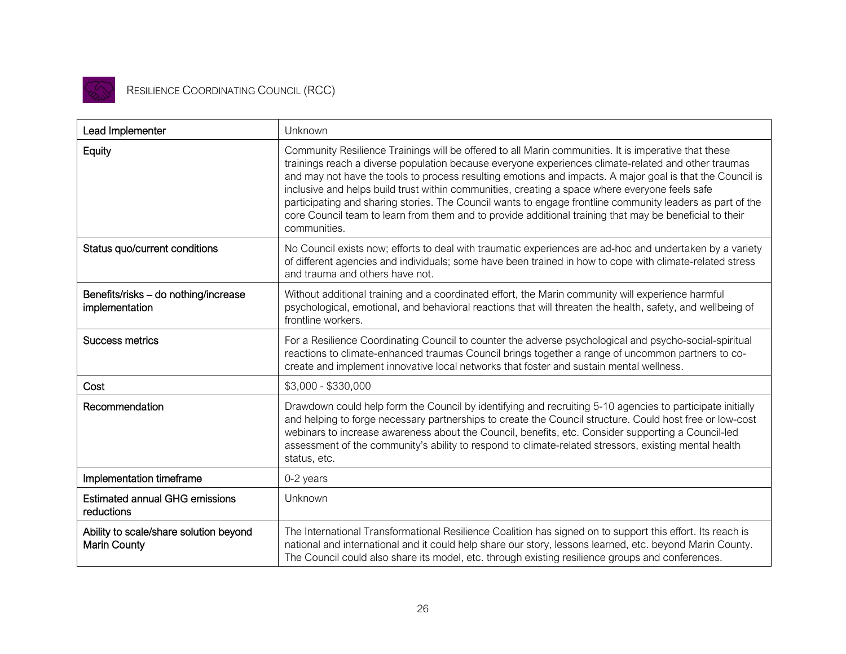

### RESILIENCE COORDINATING COUNCIL (RCC)

| Lead Implementer                                              | Unknown                                                                                                                                                                                                                                                                                                                                                                                                                                                                                                                                                                                                                                                            |
|---------------------------------------------------------------|--------------------------------------------------------------------------------------------------------------------------------------------------------------------------------------------------------------------------------------------------------------------------------------------------------------------------------------------------------------------------------------------------------------------------------------------------------------------------------------------------------------------------------------------------------------------------------------------------------------------------------------------------------------------|
| Equity                                                        | Community Resilience Trainings will be offered to all Marin communities. It is imperative that these<br>trainings reach a diverse population because everyone experiences climate-related and other traumas<br>and may not have the tools to process resulting emotions and impacts. A major goal is that the Council is<br>inclusive and helps build trust within communities, creating a space where everyone feels safe<br>participating and sharing stories. The Council wants to engage frontline community leaders as part of the<br>core Council team to learn from them and to provide additional training that may be beneficial to their<br>communities. |
| Status quo/current conditions                                 | No Council exists now; efforts to deal with traumatic experiences are ad-hoc and undertaken by a variety<br>of different agencies and individuals; some have been trained in how to cope with climate-related stress<br>and trauma and others have not.                                                                                                                                                                                                                                                                                                                                                                                                            |
| Benefits/risks - do nothing/increase<br>implementation        | Without additional training and a coordinated effort, the Marin community will experience harmful<br>psychological, emotional, and behavioral reactions that will threaten the health, safety, and wellbeing of<br>frontline workers.                                                                                                                                                                                                                                                                                                                                                                                                                              |
| Success metrics                                               | For a Resilience Coordinating Council to counter the adverse psychological and psycho-social-spiritual<br>reactions to climate-enhanced traumas Council brings together a range of uncommon partners to co-<br>create and implement innovative local networks that foster and sustain mental wellness.                                                                                                                                                                                                                                                                                                                                                             |
| Cost                                                          | \$3,000 - \$330,000                                                                                                                                                                                                                                                                                                                                                                                                                                                                                                                                                                                                                                                |
| Recommendation                                                | Drawdown could help form the Council by identifying and recruiting 5-10 agencies to participate initially<br>and helping to forge necessary partnerships to create the Council structure. Could host free or low-cost<br>webinars to increase awareness about the Council, benefits, etc. Consider supporting a Council-led<br>assessment of the community's ability to respond to climate-related stressors, existing mental health<br>status, etc.                                                                                                                                                                                                               |
| Implementation timeframe                                      | 0-2 years                                                                                                                                                                                                                                                                                                                                                                                                                                                                                                                                                                                                                                                          |
| <b>Estimated annual GHG emissions</b><br>reductions           | Unknown                                                                                                                                                                                                                                                                                                                                                                                                                                                                                                                                                                                                                                                            |
| Ability to scale/share solution beyond<br><b>Marin County</b> | The International Transformational Resilience Coalition has signed on to support this effort. Its reach is<br>national and international and it could help share our story, lessons learned, etc. beyond Marin County.<br>The Council could also share its model, etc. through existing resilience groups and conferences.                                                                                                                                                                                                                                                                                                                                         |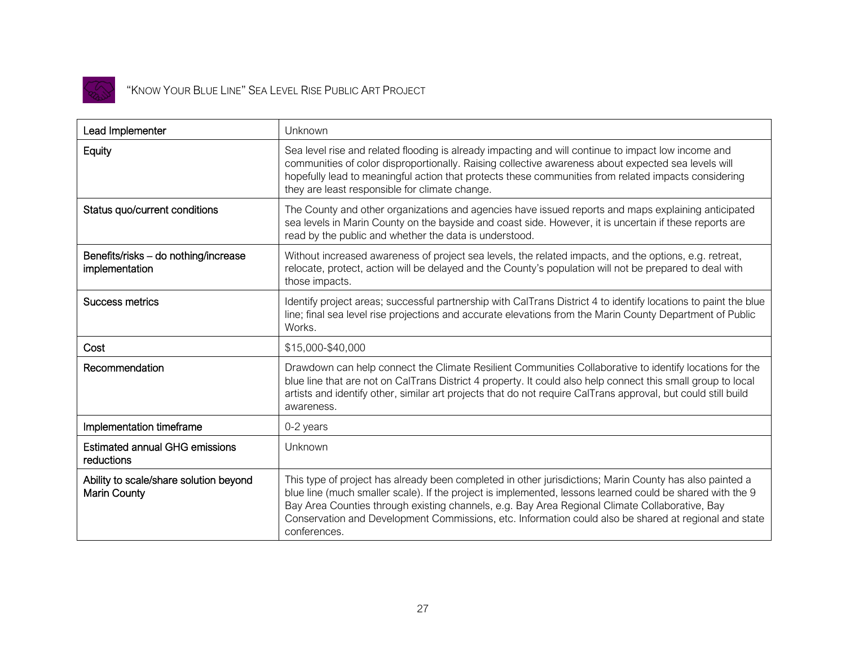

#### "KNOW YOUR BLUE LINE" SEA LEVEL RISE PUBLIC ART PROJECT

| Lead Implementer                                              | Unknown                                                                                                                                                                                                                                                                                                                                                                                                                                         |
|---------------------------------------------------------------|-------------------------------------------------------------------------------------------------------------------------------------------------------------------------------------------------------------------------------------------------------------------------------------------------------------------------------------------------------------------------------------------------------------------------------------------------|
| Equity                                                        | Sea level rise and related flooding is already impacting and will continue to impact low income and<br>communities of color disproportionally. Raising collective awareness about expected sea levels will<br>hopefully lead to meaningful action that protects these communities from related impacts considering<br>they are least responsible for climate change.                                                                            |
| Status quo/current conditions                                 | The County and other organizations and agencies have issued reports and maps explaining anticipated<br>sea levels in Marin County on the bayside and coast side. However, it is uncertain if these reports are<br>read by the public and whether the data is understood.                                                                                                                                                                        |
| Benefits/risks - do nothing/increase<br>implementation        | Without increased awareness of project sea levels, the related impacts, and the options, e.g. retreat,<br>relocate, protect, action will be delayed and the County's population will not be prepared to deal with<br>those impacts.                                                                                                                                                                                                             |
| <b>Success metrics</b>                                        | Identify project areas; successful partnership with CalTrans District 4 to identify locations to paint the blue<br>line; final sea level rise projections and accurate elevations from the Marin County Department of Public<br>Works.                                                                                                                                                                                                          |
| Cost                                                          | \$15,000-\$40,000                                                                                                                                                                                                                                                                                                                                                                                                                               |
| Recommendation                                                | Drawdown can help connect the Climate Resilient Communities Collaborative to identify locations for the<br>blue line that are not on CalTrans District 4 property. It could also help connect this small group to local<br>artists and identify other, similar art projects that do not require CalTrans approval, but could still build<br>awareness.                                                                                          |
| Implementation timeframe                                      | 0-2 years                                                                                                                                                                                                                                                                                                                                                                                                                                       |
| <b>Estimated annual GHG emissions</b><br>reductions           | Unknown                                                                                                                                                                                                                                                                                                                                                                                                                                         |
| Ability to scale/share solution beyond<br><b>Marin County</b> | This type of project has already been completed in other jurisdictions; Marin County has also painted a<br>blue line (much smaller scale). If the project is implemented, lessons learned could be shared with the 9<br>Bay Area Counties through existing channels, e.g. Bay Area Regional Climate Collaborative, Bay<br>Conservation and Development Commissions, etc. Information could also be shared at regional and state<br>conferences. |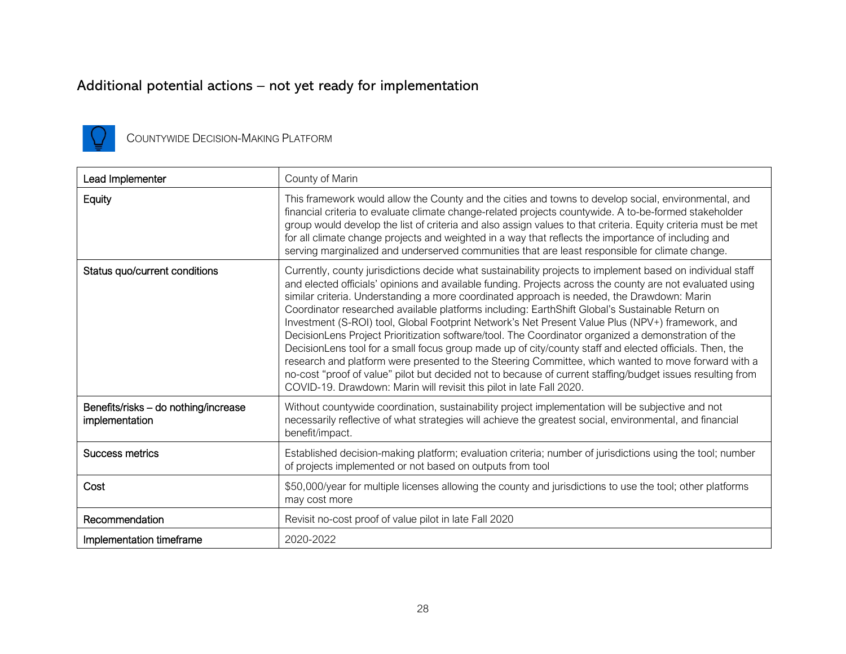### Additional potential actions – not yet ready for implementation



COUNTYWIDE DECISION-MAKING PLATFORM

| Lead Implementer                                       | County of Marin                                                                                                                                                                                                                                                                                                                                                                                                                                                                                                                                                                                                                                                                                                                                                                                                                                                                                                                                                                                                                             |
|--------------------------------------------------------|---------------------------------------------------------------------------------------------------------------------------------------------------------------------------------------------------------------------------------------------------------------------------------------------------------------------------------------------------------------------------------------------------------------------------------------------------------------------------------------------------------------------------------------------------------------------------------------------------------------------------------------------------------------------------------------------------------------------------------------------------------------------------------------------------------------------------------------------------------------------------------------------------------------------------------------------------------------------------------------------------------------------------------------------|
| Equity                                                 | This framework would allow the County and the cities and towns to develop social, environmental, and<br>financial criteria to evaluate climate change-related projects countywide. A to-be-formed stakeholder<br>group would develop the list of criteria and also assign values to that criteria. Equity criteria must be met<br>for all climate change projects and weighted in a way that reflects the importance of including and<br>serving marginalized and underserved communities that are least responsible for climate change.                                                                                                                                                                                                                                                                                                                                                                                                                                                                                                    |
| Status quo/current conditions                          | Currently, county jurisdictions decide what sustainability projects to implement based on individual staff<br>and elected officials' opinions and available funding. Projects across the county are not evaluated using<br>similar criteria. Understanding a more coordinated approach is needed, the Drawdown: Marin<br>Coordinator researched available platforms including: EarthShift Global's Sustainable Return on<br>Investment (S-ROI) tool, Global Footprint Network's Net Present Value Plus (NPV+) framework, and<br>DecisionLens Project Prioritization software/tool. The Coordinator organized a demonstration of the<br>DecisionLens tool for a small focus group made up of city/county staff and elected officials. Then, the<br>research and platform were presented to the Steering Committee, which wanted to move forward with a<br>no-cost "proof of value" pilot but decided not to because of current staffing/budget issues resulting from<br>COVID-19. Drawdown: Marin will revisit this pilot in late Fall 2020. |
| Benefits/risks - do nothing/increase<br>implementation | Without countywide coordination, sustainability project implementation will be subjective and not<br>necessarily reflective of what strategies will achieve the greatest social, environmental, and financial<br>benefit/impact.                                                                                                                                                                                                                                                                                                                                                                                                                                                                                                                                                                                                                                                                                                                                                                                                            |
| Success metrics                                        | Established decision-making platform; evaluation criteria; number of jurisdictions using the tool; number<br>of projects implemented or not based on outputs from tool                                                                                                                                                                                                                                                                                                                                                                                                                                                                                                                                                                                                                                                                                                                                                                                                                                                                      |
| Cost                                                   | \$50,000/year for multiple licenses allowing the county and jurisdictions to use the tool; other platforms<br>may cost more                                                                                                                                                                                                                                                                                                                                                                                                                                                                                                                                                                                                                                                                                                                                                                                                                                                                                                                 |
| Recommendation                                         | Revisit no-cost proof of value pilot in late Fall 2020                                                                                                                                                                                                                                                                                                                                                                                                                                                                                                                                                                                                                                                                                                                                                                                                                                                                                                                                                                                      |
| Implementation timeframe                               | 2020-2022                                                                                                                                                                                                                                                                                                                                                                                                                                                                                                                                                                                                                                                                                                                                                                                                                                                                                                                                                                                                                                   |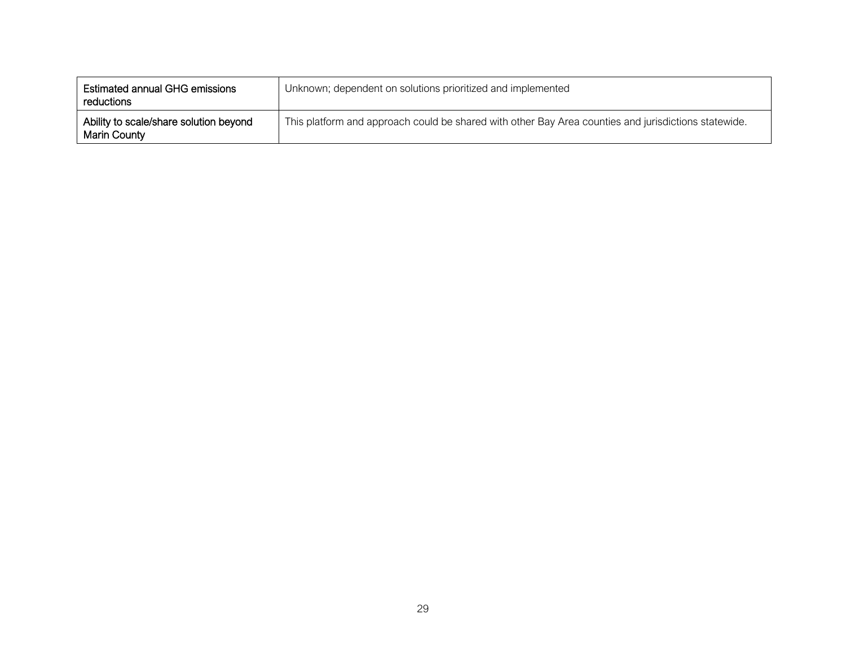| <b>Estimated annual GHG emissions</b><br>reductions           | Unknown; dependent on solutions prioritized and implemented                                          |
|---------------------------------------------------------------|------------------------------------------------------------------------------------------------------|
| Ability to scale/share solution beyond<br><b>Marin County</b> | This platform and approach could be shared with other Bay Area counties and jurisdictions statewide. |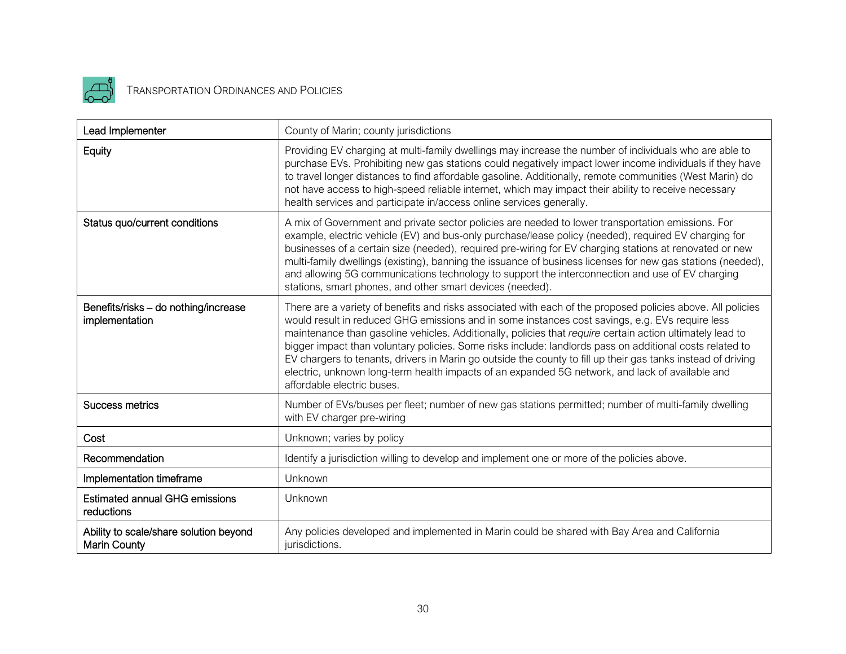

# **TRANSPORTATION ORDINANCES AND POLICIES**

| Lead Implementer                                              | County of Marin; county jurisdictions                                                                                                                                                                                                                                                                                                                                                                                                                                                                                                                                                                                                                                                    |
|---------------------------------------------------------------|------------------------------------------------------------------------------------------------------------------------------------------------------------------------------------------------------------------------------------------------------------------------------------------------------------------------------------------------------------------------------------------------------------------------------------------------------------------------------------------------------------------------------------------------------------------------------------------------------------------------------------------------------------------------------------------|
| Equity                                                        | Providing EV charging at multi-family dwellings may increase the number of individuals who are able to<br>purchase EVs. Prohibiting new gas stations could negatively impact lower income individuals if they have<br>to travel longer distances to find affordable gasoline. Additionally, remote communities (West Marin) do<br>not have access to high-speed reliable internet, which may impact their ability to receive necessary<br>health services and participate in/access online services generally.                                                                                                                                                                           |
| Status quo/current conditions                                 | A mix of Government and private sector policies are needed to lower transportation emissions. For<br>example, electric vehicle (EV) and bus-only purchase/lease policy (needed), required EV charging for<br>businesses of a certain size (needed), required pre-wiring for EV charging stations at renovated or new<br>multi-family dwellings (existing), banning the issuance of business licenses for new gas stations (needed),<br>and allowing 5G communications technology to support the interconnection and use of EV charging<br>stations, smart phones, and other smart devices (needed).                                                                                      |
| Benefits/risks - do nothing/increase<br>implementation        | There are a variety of benefits and risks associated with each of the proposed policies above. All policies<br>would result in reduced GHG emissions and in some instances cost savings, e.g. EVs require less<br>maintenance than gasoline vehicles. Additionally, policies that require certain action ultimately lead to<br>bigger impact than voluntary policies. Some risks include: landlords pass on additional costs related to<br>EV chargers to tenants, drivers in Marin go outside the county to fill up their gas tanks instead of driving<br>electric, unknown long-term health impacts of an expanded 5G network, and lack of available and<br>affordable electric buses. |
| <b>Success metrics</b>                                        | Number of EVs/buses per fleet; number of new gas stations permitted; number of multi-family dwelling<br>with EV charger pre-wiring                                                                                                                                                                                                                                                                                                                                                                                                                                                                                                                                                       |
| Cost                                                          | Unknown; varies by policy                                                                                                                                                                                                                                                                                                                                                                                                                                                                                                                                                                                                                                                                |
| Recommendation                                                | Identify a jurisdiction willing to develop and implement one or more of the policies above.                                                                                                                                                                                                                                                                                                                                                                                                                                                                                                                                                                                              |
| Implementation timeframe                                      | Unknown                                                                                                                                                                                                                                                                                                                                                                                                                                                                                                                                                                                                                                                                                  |
| <b>Estimated annual GHG emissions</b><br>reductions           | Unknown                                                                                                                                                                                                                                                                                                                                                                                                                                                                                                                                                                                                                                                                                  |
| Ability to scale/share solution beyond<br><b>Marin County</b> | Any policies developed and implemented in Marin could be shared with Bay Area and California<br>jurisdictions.                                                                                                                                                                                                                                                                                                                                                                                                                                                                                                                                                                           |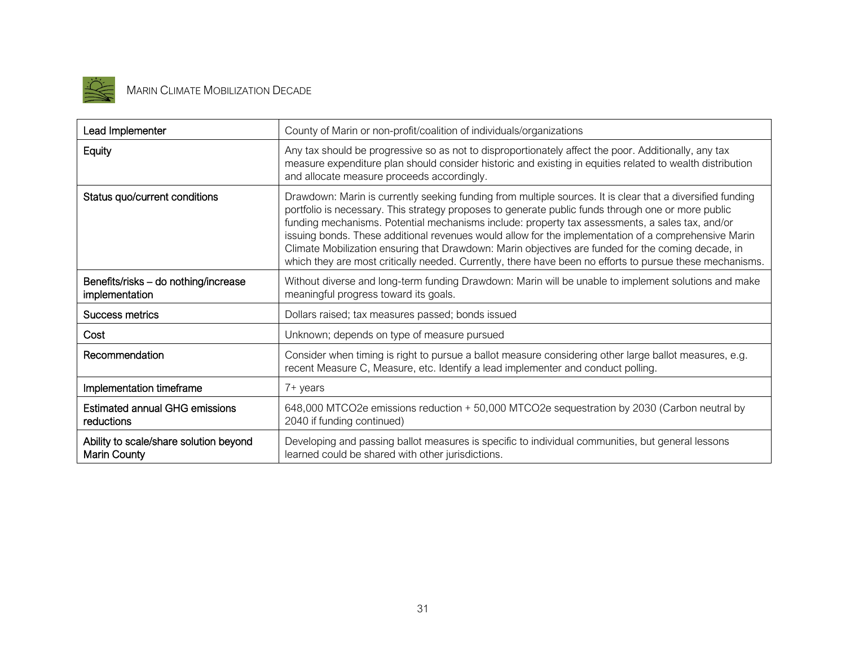

# MARIN CLIMATE MOBILIZATION DECADE

| Lead Implementer                                       | County of Marin or non-profit/coalition of individuals/organizations                                                                                                                                                                                                                                                                                                                                                                                                                                                                                                                                                                          |
|--------------------------------------------------------|-----------------------------------------------------------------------------------------------------------------------------------------------------------------------------------------------------------------------------------------------------------------------------------------------------------------------------------------------------------------------------------------------------------------------------------------------------------------------------------------------------------------------------------------------------------------------------------------------------------------------------------------------|
| Equity                                                 | Any tax should be progressive so as not to disproportionately affect the poor. Additionally, any tax<br>measure expenditure plan should consider historic and existing in equities related to wealth distribution<br>and allocate measure proceeds accordingly.                                                                                                                                                                                                                                                                                                                                                                               |
| Status quo/current conditions                          | Drawdown: Marin is currently seeking funding from multiple sources. It is clear that a diversified funding<br>portfolio is necessary. This strategy proposes to generate public funds through one or more public<br>funding mechanisms. Potential mechanisms include: property tax assessments, a sales tax, and/or<br>issuing bonds. These additional revenues would allow for the implementation of a comprehensive Marin<br>Climate Mobilization ensuring that Drawdown: Marin objectives are funded for the coming decade, in<br>which they are most critically needed. Currently, there have been no efforts to pursue these mechanisms. |
| Benefits/risks - do nothing/increase<br>implementation | Without diverse and long-term funding Drawdown: Marin will be unable to implement solutions and make<br>meaningful progress toward its goals.                                                                                                                                                                                                                                                                                                                                                                                                                                                                                                 |
| Success metrics                                        | Dollars raised; tax measures passed; bonds issued                                                                                                                                                                                                                                                                                                                                                                                                                                                                                                                                                                                             |
| Cost                                                   | Unknown; depends on type of measure pursued                                                                                                                                                                                                                                                                                                                                                                                                                                                                                                                                                                                                   |
| Recommendation                                         | Consider when timing is right to pursue a ballot measure considering other large ballot measures, e.g.<br>recent Measure C, Measure, etc. Identify a lead implementer and conduct polling.                                                                                                                                                                                                                                                                                                                                                                                                                                                    |
| Implementation timeframe                               | 7+ years                                                                                                                                                                                                                                                                                                                                                                                                                                                                                                                                                                                                                                      |
| <b>Estimated annual GHG emissions</b><br>reductions    | 648,000 MTCO2e emissions reduction + 50,000 MTCO2e sequestration by 2030 (Carbon neutral by<br>2040 if funding continued)                                                                                                                                                                                                                                                                                                                                                                                                                                                                                                                     |
| Ability to scale/share solution beyond<br>Marin County | Developing and passing ballot measures is specific to individual communities, but general lessons<br>learned could be shared with other jurisdictions.                                                                                                                                                                                                                                                                                                                                                                                                                                                                                        |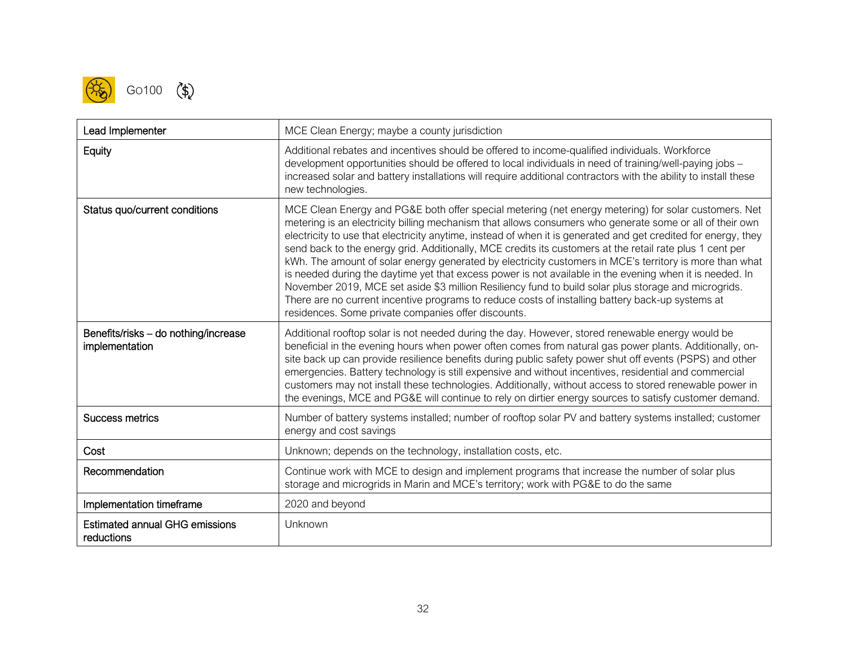

| Lead Implementer                                       | MCE Clean Energy; maybe a county jurisdiction                                                                                                                                                                                                                                                                                                                                                                                                                                                                                                                                                                                                                                                                                                                                                                                                                                                                                            |
|--------------------------------------------------------|------------------------------------------------------------------------------------------------------------------------------------------------------------------------------------------------------------------------------------------------------------------------------------------------------------------------------------------------------------------------------------------------------------------------------------------------------------------------------------------------------------------------------------------------------------------------------------------------------------------------------------------------------------------------------------------------------------------------------------------------------------------------------------------------------------------------------------------------------------------------------------------------------------------------------------------|
| Equity                                                 | Additional rebates and incentives should be offered to income-qualified individuals. Workforce<br>development opportunities should be offered to local individuals in need of training/well-paying jobs -<br>increased solar and battery installations will require additional contractors with the ability to install these<br>new technologies.                                                                                                                                                                                                                                                                                                                                                                                                                                                                                                                                                                                        |
| Status quo/current conditions                          | MCE Clean Energy and PG&E both offer special metering (net energy metering) for solar customers. Net<br>metering is an electricity billing mechanism that allows consumers who generate some or all of their own<br>electricity to use that electricity anytime, instead of when it is generated and get credited for energy, they<br>send back to the energy grid. Additionally, MCE credits its customers at the retail rate plus 1 cent per<br>kWh. The amount of solar energy generated by electricity customers in MCE's territory is more than what<br>is needed during the daytime yet that excess power is not available in the evening when it is needed. In<br>November 2019, MCE set aside \$3 million Resiliency fund to build solar plus storage and microgrids.<br>There are no current incentive programs to reduce costs of installing battery back-up systems at<br>residences. Some private companies offer discounts. |
| Benefits/risks - do nothing/increase<br>implementation | Additional rooftop solar is not needed during the day. However, stored renewable energy would be<br>beneficial in the evening hours when power often comes from natural gas power plants. Additionally, on-<br>site back up can provide resilience benefits during public safety power shut off events (PSPS) and other<br>emergencies. Battery technology is still expensive and without incentives, residential and commercial<br>customers may not install these technologies. Additionally, without access to stored renewable power in<br>the evenings, MCE and PG&E will continue to rely on dirtier energy sources to satisfy customer demand.                                                                                                                                                                                                                                                                                    |
| <b>Success metrics</b>                                 | Number of battery systems installed; number of rooftop solar PV and battery systems installed; customer<br>energy and cost savings                                                                                                                                                                                                                                                                                                                                                                                                                                                                                                                                                                                                                                                                                                                                                                                                       |
| Cost                                                   | Unknown; depends on the technology, installation costs, etc.                                                                                                                                                                                                                                                                                                                                                                                                                                                                                                                                                                                                                                                                                                                                                                                                                                                                             |
| Recommendation                                         | Continue work with MCE to design and implement programs that increase the number of solar plus<br>storage and microgrids in Marin and MCE's territory; work with PG&E to do the same                                                                                                                                                                                                                                                                                                                                                                                                                                                                                                                                                                                                                                                                                                                                                     |
| Implementation timeframe                               | 2020 and beyond                                                                                                                                                                                                                                                                                                                                                                                                                                                                                                                                                                                                                                                                                                                                                                                                                                                                                                                          |
| <b>Estimated annual GHG emissions</b><br>reductions    | Unknown                                                                                                                                                                                                                                                                                                                                                                                                                                                                                                                                                                                                                                                                                                                                                                                                                                                                                                                                  |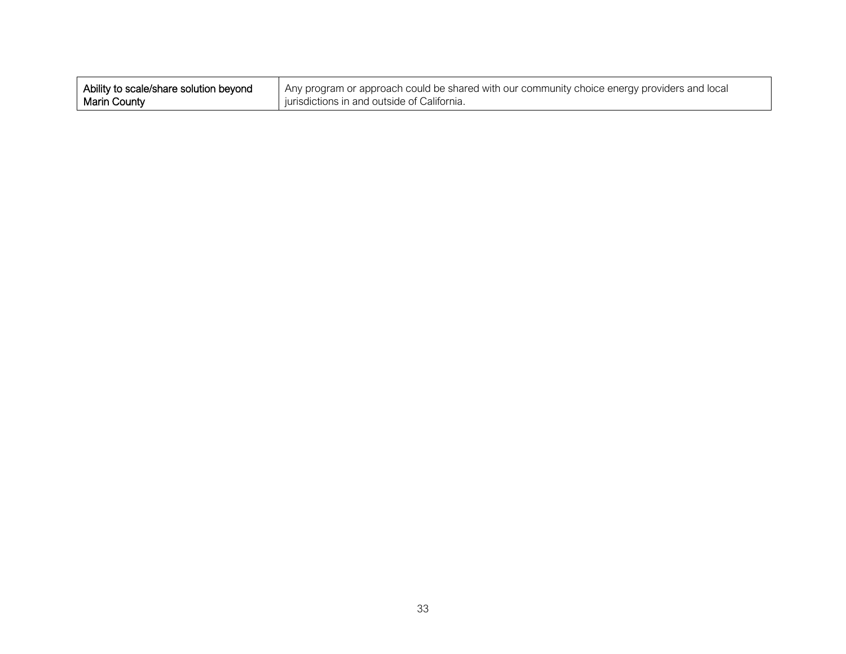| Ability to scale/share solution beyond | Any program or approach could be shared with our community choice energy providers and local |
|----------------------------------------|----------------------------------------------------------------------------------------------|
| <b>Marin County</b>                    | jurisdictions in and outside of California.                                                  |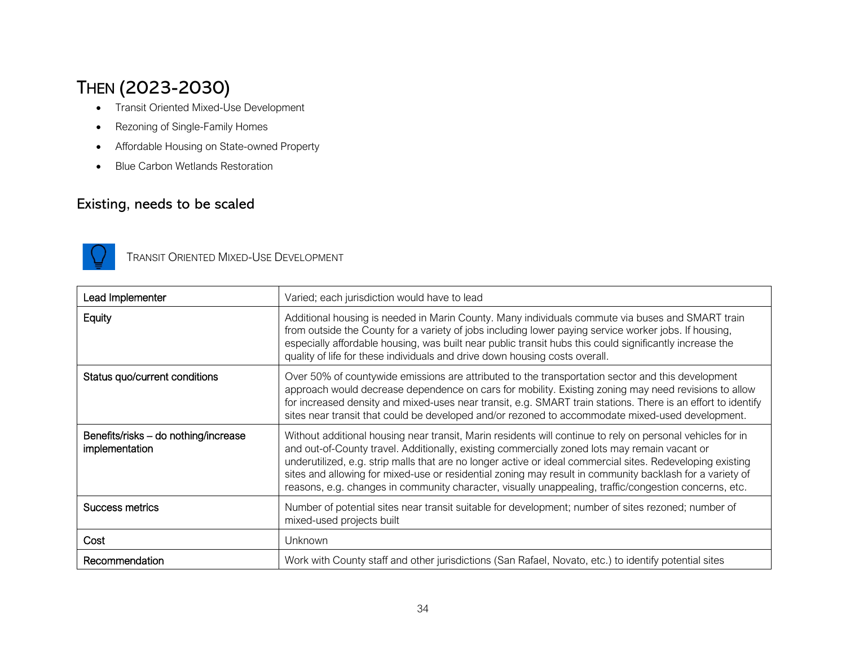### THEN (2023-2030)

- Transit Oriented Mixed-Use Development
- Rezoning of Single-Family Homes
- Affordable Housing on State-owned Property
- Blue Carbon Wetlands Restoration

#### Existing, needs to be scaled



TRANSIT ORIENTED MIXED-USE DEVELOPMENT

| Lead Implementer                                       | Varied; each jurisdiction would have to lead                                                                                                                                                                                                                                                                                                                                                                                                                                                                                                   |
|--------------------------------------------------------|------------------------------------------------------------------------------------------------------------------------------------------------------------------------------------------------------------------------------------------------------------------------------------------------------------------------------------------------------------------------------------------------------------------------------------------------------------------------------------------------------------------------------------------------|
| Equity                                                 | Additional housing is needed in Marin County. Many individuals commute via buses and SMART train<br>from outside the County for a variety of jobs including lower paying service worker jobs. If housing,<br>especially affordable housing, was built near public transit hubs this could significantly increase the<br>quality of life for these individuals and drive down housing costs overall.                                                                                                                                            |
| Status quo/current conditions                          | Over 50% of countywide emissions are attributed to the transportation sector and this development<br>approach would decrease dependence on cars for mobility. Existing zoning may need revisions to allow<br>for increased density and mixed-uses near transit, e.g. SMART train stations. There is an effort to identify<br>sites near transit that could be developed and/or rezoned to accommodate mixed-used development.                                                                                                                  |
| Benefits/risks - do nothing/increase<br>implementation | Without additional housing near transit, Marin residents will continue to rely on personal vehicles for in<br>and out-of-County travel. Additionally, existing commercially zoned lots may remain vacant or<br>underutilized, e.g. strip malls that are no longer active or ideal commercial sites. Redeveloping existing<br>sites and allowing for mixed-use or residential zoning may result in community backlash for a variety of<br>reasons, e.g. changes in community character, visually unappealing, traffic/congestion concerns, etc. |
| Success metrics                                        | Number of potential sites near transit suitable for development; number of sites rezoned; number of<br>mixed-used projects built                                                                                                                                                                                                                                                                                                                                                                                                               |
| Cost                                                   | Unknown                                                                                                                                                                                                                                                                                                                                                                                                                                                                                                                                        |
| Recommendation                                         | Work with County staff and other jurisdictions (San Rafael, Novato, etc.) to identify potential sites                                                                                                                                                                                                                                                                                                                                                                                                                                          |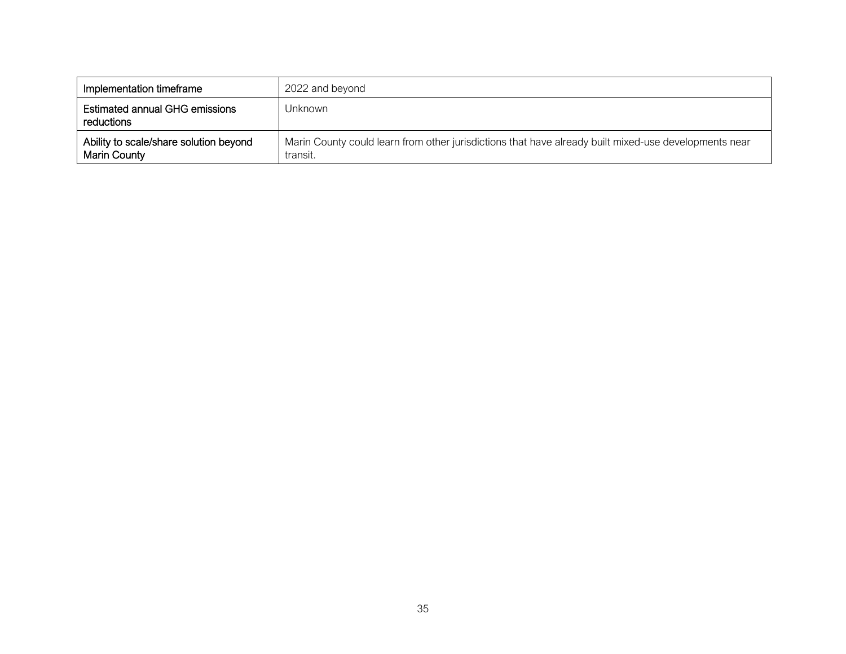| Implementation timeframe                                      | 2022 and beyond                                                                                                   |
|---------------------------------------------------------------|-------------------------------------------------------------------------------------------------------------------|
| <b>Estimated annual GHG emissions</b><br>reductions           | Unknown                                                                                                           |
| Ability to scale/share solution beyond<br><b>Marin County</b> | Marin County could learn from other jurisdictions that have already built mixed-use developments near<br>transit. |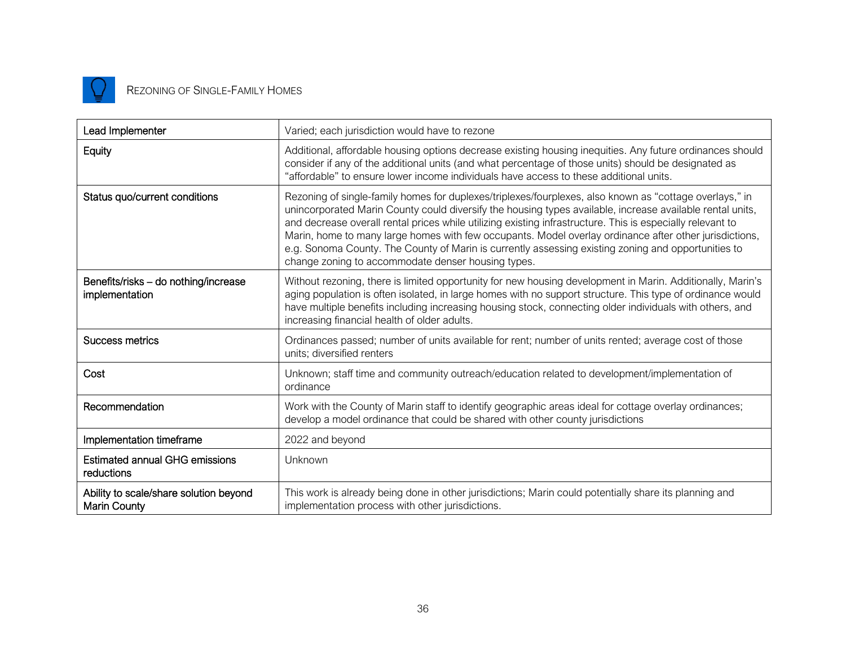

#### REZONING OF SINGLE-FAMILY HOMES

| Lead Implementer                                              | Varied; each jurisdiction would have to rezone                                                                                                                                                                                                                                                                                                                                                                                                                                                                                                                                                            |
|---------------------------------------------------------------|-----------------------------------------------------------------------------------------------------------------------------------------------------------------------------------------------------------------------------------------------------------------------------------------------------------------------------------------------------------------------------------------------------------------------------------------------------------------------------------------------------------------------------------------------------------------------------------------------------------|
| Equity                                                        | Additional, affordable housing options decrease existing housing inequities. Any future ordinances should<br>consider if any of the additional units (and what percentage of those units) should be designated as<br>"affordable" to ensure lower income individuals have access to these additional units.                                                                                                                                                                                                                                                                                               |
| Status quo/current conditions                                 | Rezoning of single-family homes for duplexes/triplexes/fourplexes, also known as "cottage overlays," in<br>unincorporated Marin County could diversify the housing types available, increase available rental units,<br>and decrease overall rental prices while utilizing existing infrastructure. This is especially relevant to<br>Marin, home to many large homes with few occupants. Model overlay ordinance after other jurisdictions,<br>e.g. Sonoma County. The County of Marin is currently assessing existing zoning and opportunities to<br>change zoning to accommodate denser housing types. |
| Benefits/risks - do nothing/increase<br>implementation        | Without rezoning, there is limited opportunity for new housing development in Marin. Additionally, Marin's<br>aging population is often isolated, in large homes with no support structure. This type of ordinance would<br>have multiple benefits including increasing housing stock, connecting older individuals with others, and<br>increasing financial health of older adults.                                                                                                                                                                                                                      |
| <b>Success metrics</b>                                        | Ordinances passed; number of units available for rent; number of units rented; average cost of those<br>units; diversified renters                                                                                                                                                                                                                                                                                                                                                                                                                                                                        |
| Cost                                                          | Unknown; staff time and community outreach/education related to development/implementation of<br>ordinance                                                                                                                                                                                                                                                                                                                                                                                                                                                                                                |
| Recommendation                                                | Work with the County of Marin staff to identify geographic areas ideal for cottage overlay ordinances;<br>develop a model ordinance that could be shared with other county jurisdictions                                                                                                                                                                                                                                                                                                                                                                                                                  |
| Implementation timeframe                                      | 2022 and beyond                                                                                                                                                                                                                                                                                                                                                                                                                                                                                                                                                                                           |
| <b>Estimated annual GHG emissions</b><br>reductions           | Unknown                                                                                                                                                                                                                                                                                                                                                                                                                                                                                                                                                                                                   |
| Ability to scale/share solution beyond<br><b>Marin County</b> | This work is already being done in other jurisdictions; Marin could potentially share its planning and<br>implementation process with other jurisdictions.                                                                                                                                                                                                                                                                                                                                                                                                                                                |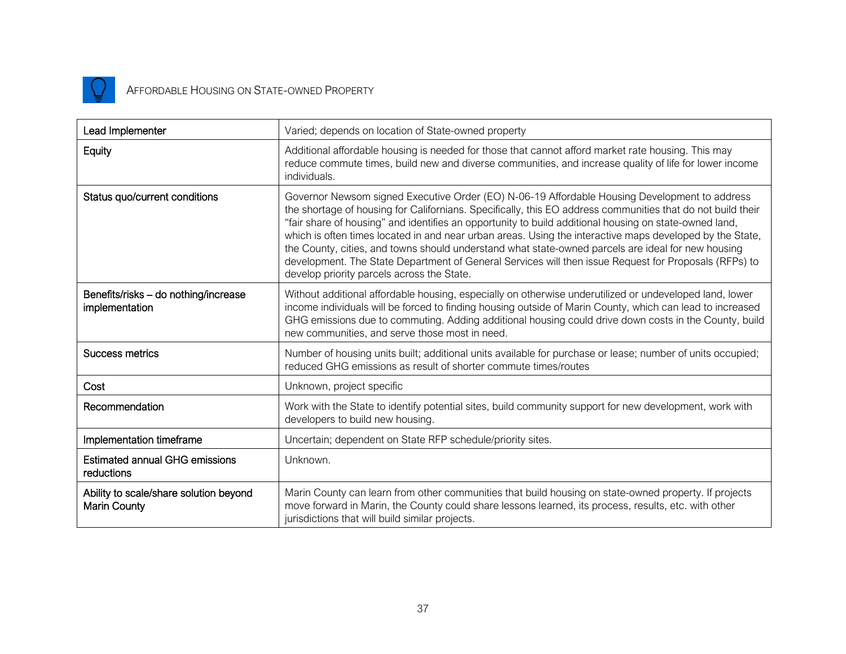

### AFFORDABLE HOUSING ON STATE-OWNED PROPERTY

| Lead Implementer                                              | Varied; depends on location of State-owned property                                                                                                                                                                                                                                                                                                                                                                                                                                                                                                                                                                                                                                             |
|---------------------------------------------------------------|-------------------------------------------------------------------------------------------------------------------------------------------------------------------------------------------------------------------------------------------------------------------------------------------------------------------------------------------------------------------------------------------------------------------------------------------------------------------------------------------------------------------------------------------------------------------------------------------------------------------------------------------------------------------------------------------------|
| Equity                                                        | Additional affordable housing is needed for those that cannot afford market rate housing. This may<br>reduce commute times, build new and diverse communities, and increase quality of life for lower income<br>individuals.                                                                                                                                                                                                                                                                                                                                                                                                                                                                    |
| Status quo/current conditions                                 | Governor Newsom signed Executive Order (EO) N-06-19 Affordable Housing Development to address<br>the shortage of housing for Californians. Specifically, this EO address communities that do not build their<br>"fair share of housing" and identifies an opportunity to build additional housing on state-owned land,<br>which is often times located in and near urban areas. Using the interactive maps developed by the State,<br>the County, cities, and towns should understand what state-owned parcels are ideal for new housing<br>development. The State Department of General Services will then issue Request for Proposals (RFPs) to<br>develop priority parcels across the State. |
| Benefits/risks - do nothing/increase<br>implementation        | Without additional affordable housing, especially on otherwise underutilized or undeveloped land, lower<br>income individuals will be forced to finding housing outside of Marin County, which can lead to increased<br>GHG emissions due to commuting. Adding additional housing could drive down costs in the County, build<br>new communities, and serve those most in need.                                                                                                                                                                                                                                                                                                                 |
| Success metrics                                               | Number of housing units built; additional units available for purchase or lease; number of units occupied;<br>reduced GHG emissions as result of shorter commute times/routes                                                                                                                                                                                                                                                                                                                                                                                                                                                                                                                   |
| Cost                                                          | Unknown, project specific                                                                                                                                                                                                                                                                                                                                                                                                                                                                                                                                                                                                                                                                       |
| Recommendation                                                | Work with the State to identify potential sites, build community support for new development, work with<br>developers to build new housing.                                                                                                                                                                                                                                                                                                                                                                                                                                                                                                                                                     |
| Implementation timeframe                                      | Uncertain; dependent on State RFP schedule/priority sites.                                                                                                                                                                                                                                                                                                                                                                                                                                                                                                                                                                                                                                      |
| <b>Estimated annual GHG emissions</b><br>reductions           | Unknown.                                                                                                                                                                                                                                                                                                                                                                                                                                                                                                                                                                                                                                                                                        |
| Ability to scale/share solution beyond<br><b>Marin County</b> | Marin County can learn from other communities that build housing on state-owned property. If projects<br>move forward in Marin, the County could share lessons learned, its process, results, etc. with other<br>jurisdictions that will build similar projects.                                                                                                                                                                                                                                                                                                                                                                                                                                |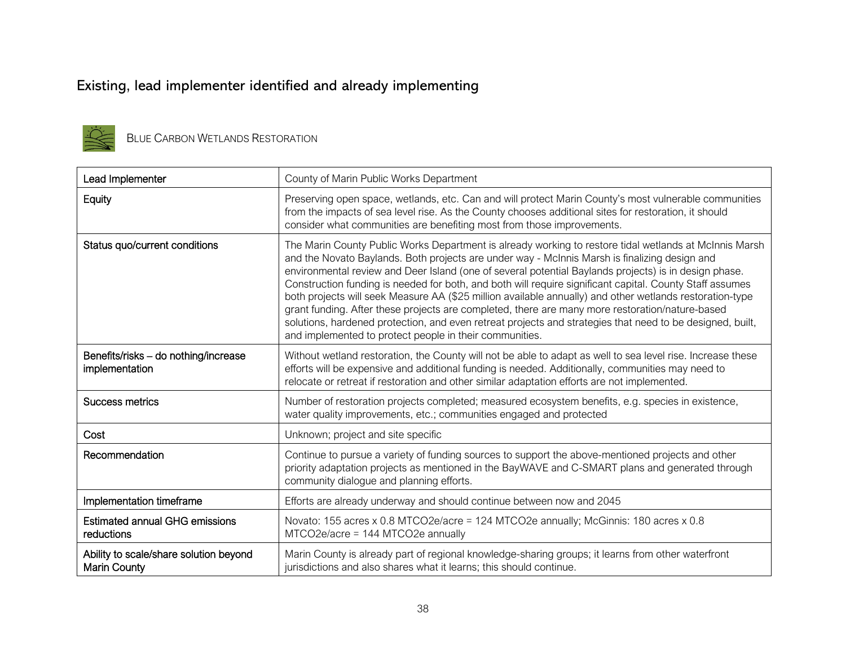### Existing, lead implementer identified and already implementing



BLUE CARBON WETLANDS RESTORATION

| Lead Implementer                                              | County of Marin Public Works Department                                                                                                                                                                                                                                                                                                                                                                                                                                                                                                                                                                                                                                                                                                                                                                             |
|---------------------------------------------------------------|---------------------------------------------------------------------------------------------------------------------------------------------------------------------------------------------------------------------------------------------------------------------------------------------------------------------------------------------------------------------------------------------------------------------------------------------------------------------------------------------------------------------------------------------------------------------------------------------------------------------------------------------------------------------------------------------------------------------------------------------------------------------------------------------------------------------|
| Equity                                                        | Preserving open space, wetlands, etc. Can and will protect Marin County's most vulnerable communities<br>from the impacts of sea level rise. As the County chooses additional sites for restoration, it should<br>consider what communities are benefiting most from those improvements.                                                                                                                                                                                                                                                                                                                                                                                                                                                                                                                            |
| Status quo/current conditions                                 | The Marin County Public Works Department is already working to restore tidal wetlands at McInnis Marsh<br>and the Novato Baylands. Both projects are under way - McInnis Marsh is finalizing design and<br>environmental review and Deer Island (one of several potential Baylands projects) is in design phase.<br>Construction funding is needed for both, and both will require significant capital. County Staff assumes<br>both projects will seek Measure AA (\$25 million available annually) and other wetlands restoration-type<br>grant funding. After these projects are completed, there are many more restoration/nature-based<br>solutions, hardened protection, and even retreat projects and strategies that need to be designed, built,<br>and implemented to protect people in their communities. |
| Benefits/risks - do nothing/increase<br>implementation        | Without wetland restoration, the County will not be able to adapt as well to sea level rise. Increase these<br>efforts will be expensive and additional funding is needed. Additionally, communities may need to<br>relocate or retreat if restoration and other similar adaptation efforts are not implemented.                                                                                                                                                                                                                                                                                                                                                                                                                                                                                                    |
| <b>Success metrics</b>                                        | Number of restoration projects completed; measured ecosystem benefits, e.g. species in existence,<br>water quality improvements, etc.; communities engaged and protected                                                                                                                                                                                                                                                                                                                                                                                                                                                                                                                                                                                                                                            |
| Cost                                                          | Unknown; project and site specific                                                                                                                                                                                                                                                                                                                                                                                                                                                                                                                                                                                                                                                                                                                                                                                  |
| Recommendation                                                | Continue to pursue a variety of funding sources to support the above-mentioned projects and other<br>priority adaptation projects as mentioned in the BayWAVE and C-SMART plans and generated through<br>community dialogue and planning efforts.                                                                                                                                                                                                                                                                                                                                                                                                                                                                                                                                                                   |
| Implementation timeframe                                      | Efforts are already underway and should continue between now and 2045                                                                                                                                                                                                                                                                                                                                                                                                                                                                                                                                                                                                                                                                                                                                               |
| <b>Estimated annual GHG emissions</b><br>reductions           | Novato: 155 acres x 0.8 MTCO2e/acre = 124 MTCO2e annually; McGinnis: 180 acres x 0.8<br>MTCO2e/acre = 144 MTCO2e annually                                                                                                                                                                                                                                                                                                                                                                                                                                                                                                                                                                                                                                                                                           |
| Ability to scale/share solution beyond<br><b>Marin County</b> | Marin County is already part of regional knowledge-sharing groups; it learns from other waterfront<br>jurisdictions and also shares what it learns; this should continue.                                                                                                                                                                                                                                                                                                                                                                                                                                                                                                                                                                                                                                           |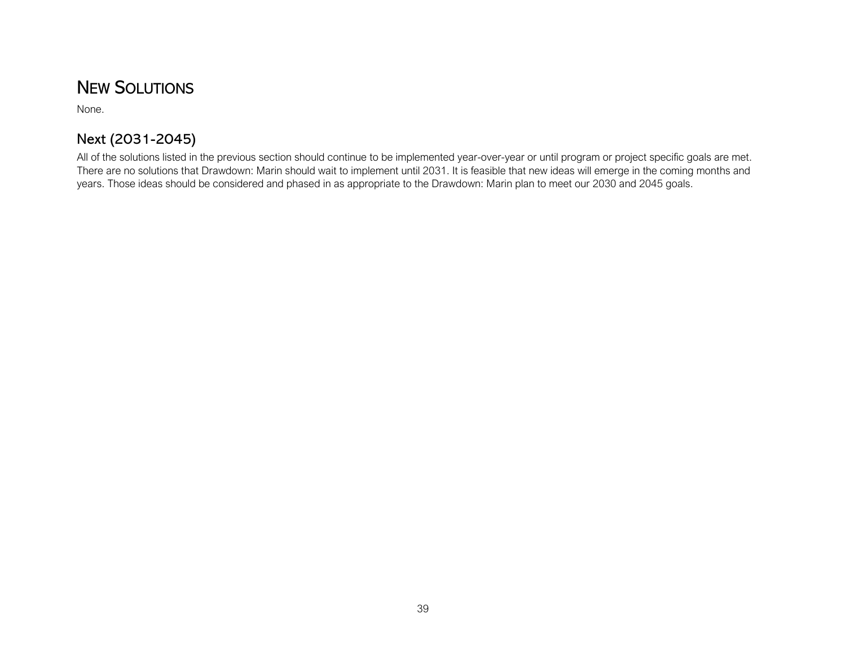### NEW SOLUTIONS

None.

#### Next (2031-2045)

All of the solutions listed in the previous section should continue to be implemented year-over-year or until program or project specific goals are met. There are no solutions that Drawdown: Marin should wait to implement until 2031. It is feasible that new ideas will emerge in the coming months and years. Those ideas should be considered and phased in as appropriate to the Drawdown: Marin plan to meet our 2030 and 2045 goals.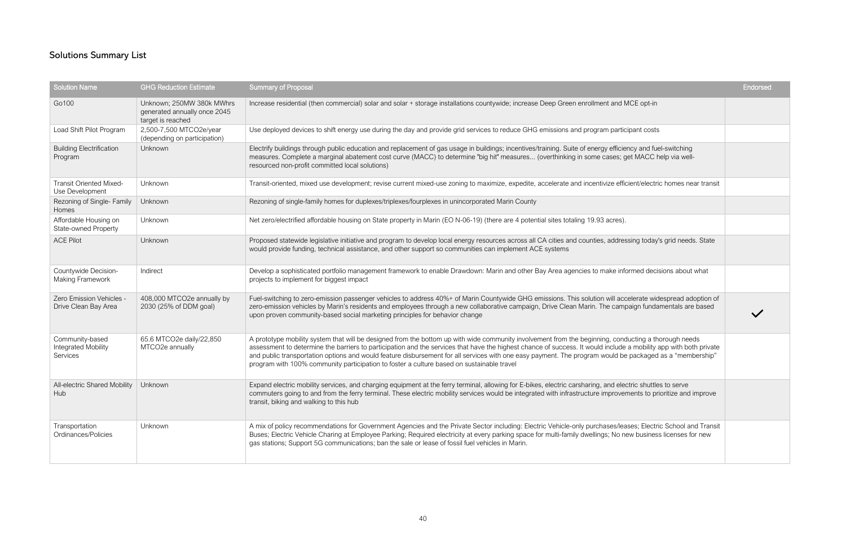|                                                                                                 | <b>Endorsed</b> |
|-------------------------------------------------------------------------------------------------|-----------------|
| MCE opt-in                                                                                      |                 |
| icipant costs                                                                                   |                 |
| iency and fuel-switching<br>get MACC help via well-                                             |                 |
| ficient/electric homes near transit                                                             |                 |
|                                                                                                 |                 |
| ).                                                                                              |                 |
| essing today's grid needs. State                                                                |                 |
| formed decisions about what                                                                     |                 |
| ccelerate widespread adoption of<br>npaign fundamentals are based                               |                 |
| ducting a thorough needs<br>e a mobility app with both private<br>be packaged as a "membership" |                 |
| ectric shuttles to serve<br>ements to prioritize and improve                                    |                 |
| eases; Electric School and Transit<br>new business licenses for new                             |                 |

### Solutions Summary List

| <b>Solution Name</b>                                      | <b>GHG Reduction Estimate</b>                                                  | <b>Summary of Proposal</b>                                                                                                                                                                                                                                                                                                                                                                                                                                                                                                                                                         | Endorsed |
|-----------------------------------------------------------|--------------------------------------------------------------------------------|------------------------------------------------------------------------------------------------------------------------------------------------------------------------------------------------------------------------------------------------------------------------------------------------------------------------------------------------------------------------------------------------------------------------------------------------------------------------------------------------------------------------------------------------------------------------------------|----------|
| Go100                                                     | Unknown; 250MW 380k MWhrs<br>generated annually once 2045<br>target is reached | Increase residential (then commercial) solar and solar + storage installations countywide; increase Deep Green enrollment and MCE opt-in                                                                                                                                                                                                                                                                                                                                                                                                                                           |          |
| Load Shift Pilot Program                                  | 2,500-7,500 MTCO2e/year<br>(depending on participation)                        | Use deployed devices to shift energy use during the day and provide grid services to reduce GHG emissions and program participant costs                                                                                                                                                                                                                                                                                                                                                                                                                                            |          |
| <b>Building Electrification</b><br>Program                | Unknown                                                                        | Electrify buildings through public education and replacement of gas usage in buildings; incentives/training. Suite of energy efficiency and fuel-switching<br>measures. Complete a marginal abatement cost curve (MACC) to determine "big hit" measures (overthinking in some cases; get MACC help via well-<br>resourced non-profit committed local solutions)                                                                                                                                                                                                                    |          |
| <b>Transit Oriented Mixed-</b><br>Use Development         | Unknown                                                                        | Transit-oriented, mixed use development; revise current mixed-use zoning to maximize, expedite, accelerate and incentivize efficient/electric homes near transit                                                                                                                                                                                                                                                                                                                                                                                                                   |          |
| Rezoning of Single- Family<br>Homes                       | Unknown                                                                        | Rezoning of single-family homes for duplexes/triplexes/fourplexes in unincorporated Marin County                                                                                                                                                                                                                                                                                                                                                                                                                                                                                   |          |
| Affordable Housing on<br><b>State-owned Property</b>      | Unknown                                                                        | Net zero/electrified affordable housing on State property in Marin (EO N-06-19) (there are 4 potential sites totaling 19.93 acres).                                                                                                                                                                                                                                                                                                                                                                                                                                                |          |
| <b>ACE Pilot</b>                                          | Unknown                                                                        | Proposed statewide legislative initiative and program to develop local energy resources across all CA cities and counties, addressing today's grid needs. State<br>would provide funding, technical assistance, and other support so communities can implement ACE systems                                                                                                                                                                                                                                                                                                         |          |
| Countywide Decision-<br>Making Framework                  | Indirect                                                                       | Develop a sophisticated portfolio management framework to enable Drawdown: Marin and other Bay Area agencies to make informed decisions about what<br>projects to implement for biggest impact                                                                                                                                                                                                                                                                                                                                                                                     |          |
| Zero Emission Vehicles -<br>Drive Clean Bay Area          | 408,000 MTCO2e annually by<br>2030 (25% of DDM goal)                           | Fuel-switching to zero-emission passenger vehicles to address 40%+ of Marin Countywide GHG emissions. This solution will accelerate widespread adoption of<br>zero-emission vehicles by Marin's residents and employees through a new collaborative campaign, Drive Clean Marin. The campaign fundamentals are based<br>upon proven community-based social marketing principles for behavior change                                                                                                                                                                                |          |
| Community-based<br><b>Integrated Mobility</b><br>Services | 65.6 MTCO2e daily/22,850<br>MTCO2e annually                                    | A prototype mobility system that will be designed from the bottom up with wide community involvement from the beginning, conducting a thorough needs<br>assessment to determine the barriers to participation and the services that have the highest chance of success. It would include a mobility app with both private<br>and public transportation options and would feature disbursement for all services with one easy payment. The program would be packaged as a "membership"<br>program with 100% community participation to foster a culture based on sustainable travel |          |
| All-electric Shared Mobility<br>Hub                       | Unknown                                                                        | Expand electric mobility services, and charging equipment at the ferry terminal, allowing for E-bikes, electric carsharing, and electric shuttles to serve<br>commuters going to and from the ferry terminal. These electric mobility services would be integrated with infrastructure improvements to prioritize and improve<br>transit, biking and walking to this hub                                                                                                                                                                                                           |          |
| Transportation<br>Ordinances/Policies                     | Unknown                                                                        | A mix of policy recommendations for Government Agencies and the Private Sector including: Electric Vehicle-only purchases/leases; Electric School and Transit<br>Buses; Electric Vehicle Charing at Employee Parking; Required electricity at every parking space for multi-family dwellings; No new business licenses for new<br>gas stations; Support 5G communications; ban the sale or lease of fossil fuel vehicles in Marin.                                                                                                                                                 |          |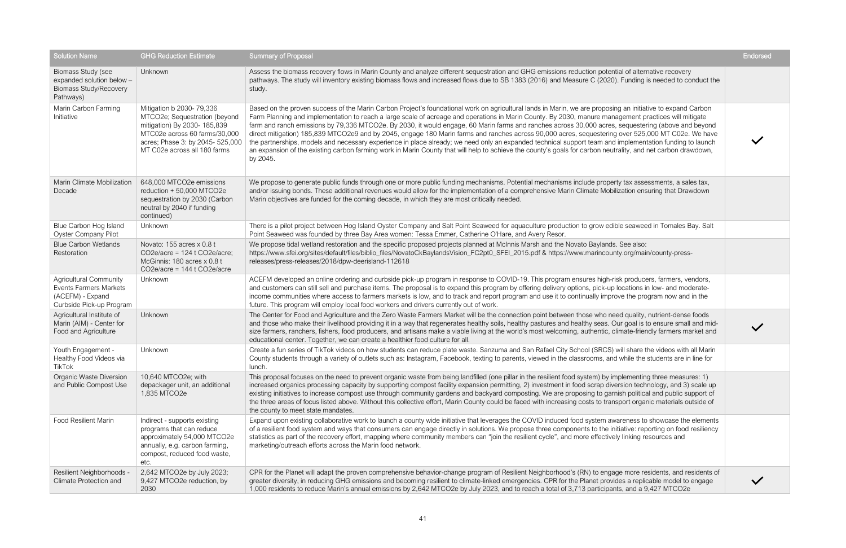|                                                                                                                                                                                                       | <b>Endorsed</b> |
|-------------------------------------------------------------------------------------------------------------------------------------------------------------------------------------------------------|-----------------|
| I of alternative recovery<br>Funding is needed to conduct the                                                                                                                                         |                 |
| an initiative to expand Carbon<br>ement practices will mitigate<br>equestering (above and beyond<br>ver 525,000 MT C02e. We have<br>nplementation funding to launch<br>lity, and net carbon drawdown, |                 |
| tax assessments, a sales tax,<br>ation ensuring that Drawdown                                                                                                                                         |                 |
| seaweed in Tomales Bay. Salt                                                                                                                                                                          |                 |
| See also:<br>.org/main/county-press-                                                                                                                                                                  |                 |
| producers, farmers, vendors,<br>cations in low- and moderate-<br>e the program now and in the                                                                                                         |                 |
| d quality, nutrient-dense foods<br>goal is to ensure small and mid-<br>nate-friendly farmers market and                                                                                               |                 |
| Il share the videos with all Marin<br>vhile the students are in line for                                                                                                                              |                 |
| lementing three measures: 1)<br>sion technology, and 3) scale up<br>h political and public support of<br>ort organic materials outside of                                                             |                 |
| eness to showcase the elements<br>ative: reporting on food resiliency<br>linking resources and                                                                                                        |                 |
| more residents, and residents of<br>s a replicable model to engage<br>, and a 9,427 MTCO2e                                                                                                            |                 |

| <b>Solution Name</b>                                                                                    | <b>GHG Reduction Estimate</b>                                                                                                                                                                  | <b>Summary of Proposal</b>                                                                                                                                                                                                                                                                                                                                                                                                                                                                                                                                                                                                                                                                                                                                                                                                                                                                                                                                                 | <b>Endorsed</b> |
|---------------------------------------------------------------------------------------------------------|------------------------------------------------------------------------------------------------------------------------------------------------------------------------------------------------|----------------------------------------------------------------------------------------------------------------------------------------------------------------------------------------------------------------------------------------------------------------------------------------------------------------------------------------------------------------------------------------------------------------------------------------------------------------------------------------------------------------------------------------------------------------------------------------------------------------------------------------------------------------------------------------------------------------------------------------------------------------------------------------------------------------------------------------------------------------------------------------------------------------------------------------------------------------------------|-----------------|
| Biomass Study (see<br>expanded solution below -<br><b>Biomass Study/Recovery</b><br>Pathways)           | Unknown                                                                                                                                                                                        | Assess the biomass recovery flows in Marin County and analyze different sequestration and GHG emissions reduction potential of alternative recovery<br>pathways. The study will inventory existing biomass flows and increased flows due to SB 1383 (2016) and Measure C (2020). Funding is needed to conduct the<br>study.                                                                                                                                                                                                                                                                                                                                                                                                                                                                                                                                                                                                                                                |                 |
| Marin Carbon Farming<br>Initiative                                                                      | Mitigation b 2030- 79,336<br>MTCO2e; Sequestration (beyond<br>mitigation) By 2030-185,839<br>MTC02e across 60 farms/30,000<br>acres; Phase 3: by 2045- 525,000<br>MT C02e across all 180 farms | Based on the proven success of the Marin Carbon Project's foundational work on agricultural lands in Marin, we are proposing an initiative to expand Carbon<br>Farm Planning and implementation to reach a large scale of acreage and operations in Marin County. By 2030, manure management practices will mitigate<br>farm and ranch emissions by 79,336 MTCO2e. By 2030, it would engage, 60 Marin farms and ranches across 30,000 acres, sequestering (above and beyond<br>direct mitigation) 185,839 MTCO2e9 and by 2045, engage 180 Marin farms and ranches across 90,000 acres, sequestering over 525,000 MT C02e. We have<br>the partnerships, models and necessary experience in place already; we need only an expanded technical support team and implementation funding to launch<br>an expansion of the existing carbon farming work in Marin County that will help to achieve the county's goals for carbon neutrality, and net carbon drawdown,<br>by 2045. |                 |
| <b>Marin Climate Mobilization</b><br>Decade                                                             | 648,000 MTCO2e emissions<br>reduction + 50,000 MTCO2e<br>sequestration by 2030 (Carbon<br>neutral by 2040 if funding<br>continued)                                                             | We propose to generate public funds through one or more public funding mechanisms. Potential mechanisms include property tax assessments, a sales tax,<br>and/or issuing bonds. These additional revenues would allow for the implementation of a comprehensive Marin Climate Mobilization ensuring that Drawdown<br>Marin objectives are funded for the coming decade, in which they are most critically needed.                                                                                                                                                                                                                                                                                                                                                                                                                                                                                                                                                          |                 |
| Blue Carbon Hog Island<br><b>Oyster Company Pilot</b>                                                   | Unknown                                                                                                                                                                                        | There is a pilot project between Hog Island Oyster Company and Salt Point Seaweed for aquaculture production to grow edible seaweed in Tomales Bay. Salt<br>Point Seaweed was founded by three Bay Area women: Tessa Emmer, Catherine O'Hare, and Avery Resor.                                                                                                                                                                                                                                                                                                                                                                                                                                                                                                                                                                                                                                                                                                             |                 |
| <b>Blue Carbon Wetlands</b><br>Restoration                                                              | Novato: 155 acres x 0.8 t<br>CO2e/acre = $124$ t CO2e/acre;<br>McGinnis: 180 acres x 0.8 t<br>$CO2e/acre = 144$ t $CO2e/acre$                                                                  | We propose tidal wetland restoration and the specific proposed projects planned at McInnis Marsh and the Novato Baylands. See also:<br>https://www.sfei.org/sites/default/files/biblio_files/NovatoCkBaylandsVision_FC2pt0_SFEI_2015.pdf & https://www.marincounty.org/main/county-press-<br>releases/press-releases/2018/dpw-deerisland-112618                                                                                                                                                                                                                                                                                                                                                                                                                                                                                                                                                                                                                            |                 |
| <b>Agricultural Community</b><br>Events Farmers Markets<br>(ACEFM) - Expand<br>Curbside Pick-up Program | Unknown                                                                                                                                                                                        | ACEFM developed an online ordering and curbside pick-up program in response to COVID-19. This program ensures high-risk producers, farmers, vendors,<br>and customers can still sell and purchase items. The proposal is to expand this program by offering delivery options, pick-up locations in low- and moderate-<br>income communities where access to farmers markets is low, and to track and report program and use it to continually improve the program now and in the<br>future. This program will employ local food workers and drivers currently out of work.                                                                                                                                                                                                                                                                                                                                                                                                 |                 |
| Agricultural Institute of<br>Marin (AIM) - Center for<br>Food and Agriculture                           | Unknown                                                                                                                                                                                        | The Center for Food and Agriculture and the Zero Waste Farmers Market will be the connection point between those who need quality, nutrient-dense foods<br>and those who make their livelihood providing it in a way that regenerates healthy soils, healthy pastures and healthy seas. Our goal is to ensure small and mid-<br>size farmers, ranchers, fishers, food producers, and artisans make a viable living at the world's most welcoming, authentic, climate-friendly farmers market and<br>educational center. Together, we can create a healthier food culture for all.                                                                                                                                                                                                                                                                                                                                                                                          |                 |
| Youth Engagement -<br>Healthy Food Videos via<br>TikTok                                                 | Unknown                                                                                                                                                                                        | Create a fun series of TikTok videos on how students can reduce plate waste. Sanzuma and San Rafael City School (SRCS) will share the videos with all Marin<br>County students through a variety of outlets such as: Instagram, Facebook, texting to parents, viewed in the classrooms, and while the students are in line for<br>lunch.                                                                                                                                                                                                                                                                                                                                                                                                                                                                                                                                                                                                                                   |                 |
| <b>Organic Waste Diversion</b><br>and Public Compost Use                                                | 10,640 MTCO2e; with<br>depackager unit, an additional<br>1,835 MTCO2e                                                                                                                          | This proposal focuses on the need to prevent organic waste from being landfilled (one pillar in the resilient food system) by implementing three measures: 1)<br>increased organics processing capacity by supporting compost facility expansion permitting, 2) investment in food scrap diversion technology, and 3) scale up<br>existing initiatives to increase compost use through community gardens and backyard composting. We are proposing to garnish political and public support of<br>the three areas of focus listed above. Without this collective effort, Marin County could be faced with increasing costs to transport organic materials outside of<br>the county to meet state mandates.                                                                                                                                                                                                                                                                  |                 |
| <b>Food Resilient Marin</b>                                                                             | Indirect - supports existing<br>programs that can reduce<br>approximately 54,000 MTCO2e<br>annually, e.g. carbon farming,<br>compost, reduced food waste,<br>etc.                              | Expand upon existing collaborative work to launch a county wide initiative that leverages the COVID induced food system awareness to showcase the elements<br>of a resilient food system and ways that consumers can engage directly in solutions. We propose three components to the initiative: reporting on food resiliency<br>statistics as part of the recovery effort, mapping where community members can "join the resilient cycle", and more effectively linking resources and<br>marketing/outreach efforts across the Marin food network.                                                                                                                                                                                                                                                                                                                                                                                                                       |                 |
| Resilient Neighborhoods -<br>Climate Protection and                                                     | 2,642 MTCO2e by July 2023;<br>9,427 MTCO2e reduction, by<br>2030                                                                                                                               | CPR for the Planet will adapt the proven comprehensive behavior-change program of Resilient Neighborhood's (RN) to engage more residents, and residents of<br>greater diversity, in reducing GHG emissions and becoming resilient to climate-linked emergencies. CPR for the Planet provides a replicable model to engage<br>1,000 residents to reduce Marin's annual emissions by 2,642 MTCO2e by July 2023, and to reach a total of 3,713 participants, and a 9,427 MTCO2e                                                                                                                                                                                                                                                                                                                                                                                                                                                                                               |                 |